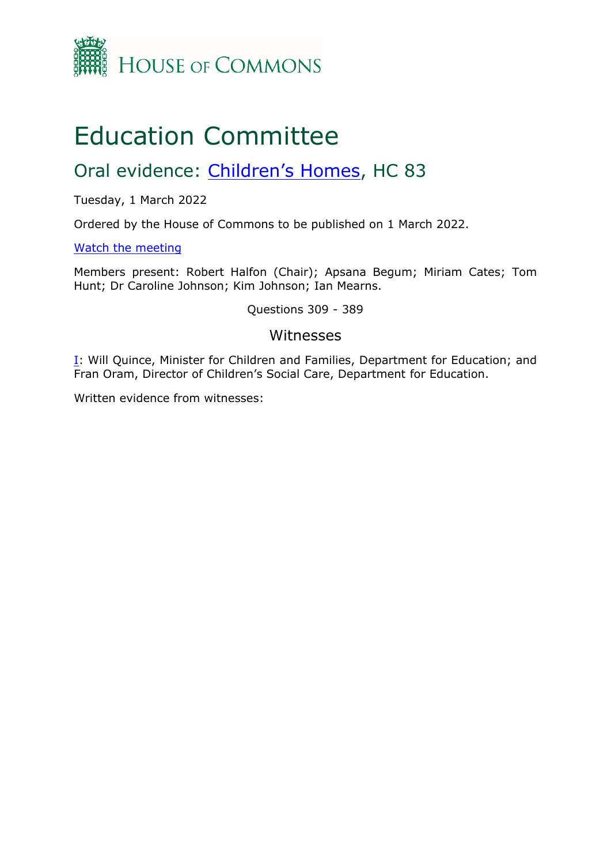

# Education Committee

## Oral evidence: [Children's](https://committees.parliament.uk/work/1111/childrens-homes/) [Homes](https://committees.parliament.uk/work/1111/childrens-homes/), HC 83

Tuesday, 1 March 2022

Ordered by the House of Commons to be published on 1 March 2022.

[Watch](https://www.parliamentlive.tv/Event/Index/ffd24ba6-a018-4bea-bc02-a5adb533f019) [the](https://www.parliamentlive.tv/Event/Index/ffd24ba6-a018-4bea-bc02-a5adb533f019) [meeting](https://www.parliamentlive.tv/Event/Index/ffd24ba6-a018-4bea-bc02-a5adb533f019)

Members present: Robert Halfon (Chair); Apsana Begum; Miriam Cates; Tom Hunt; Dr Caroline Johnson; Kim Johnson; Ian Mearns.

Questions 309 - 389

#### Witnesses

[I:](#page-1-0) Will Quince, Minister for Children and Families, Department for Education; and Fran Oram, Director of Children's Social Care, Department for Education.

Written evidence from witnesses: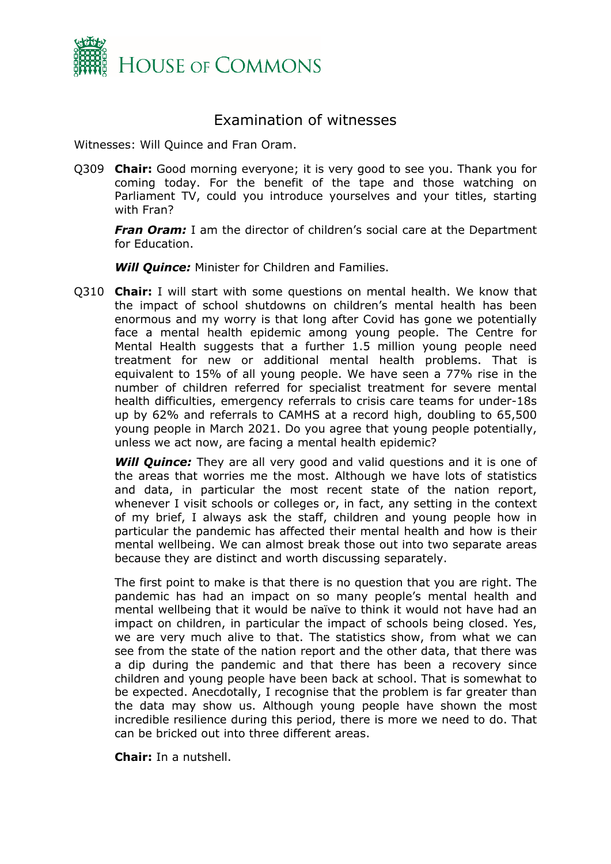

### <span id="page-1-0"></span>Examination of witnesses

Witnesses: Will Quince and Fran Oram.

Q309 **Chair:** Good morning everyone; it is very good to see you. Thank you for coming today. For the benefit of the tape and those watching on Parliament TV, could you introduce yourselves and your titles, starting with Fran?

*Fran Oram:* I am the director of children's social care at the Department for Education.

*Will Quince:* Minister for Children and Families.

Q310 **Chair:** I will start with some questions on mental health. We know that the impact of school shutdowns on children's mental health has been enormous and my worry is that long after Covid has gone we potentially face a mental health epidemic among young people. The Centre for Mental Health suggests that a further 1.5 million young people need treatment for new or additional mental health problems. That is equivalent to 15% of all young people. We have seen a 77% rise in the number of children referred for specialist treatment for severe mental health difficulties, emergency referrals to crisis care teams for under-18s up by 62% and referrals to CAMHS at a record high, doubling to 65,500 young people in March 2021. Do you agree that young people potentially, unless we act now, are facing a mental health epidemic?

**Will Quince:** They are all very good and valid questions and it is one of the areas that worries me the most. Although we have lots of statistics and data, in particular the most recent state of the nation report, whenever I visit schools or colleges or, in fact, any setting in the context of my brief, I always ask the staff, children and young people how in particular the pandemic has affected their mental health and how is their mental wellbeing. We can almost break those out into two separate areas because they are distinct and worth discussing separately.

The first point to make is that there is no question that you are right. The pandemic has had an impact on so many people's mental health and mental wellbeing that it would be naïve to think it would not have had an impact on children, in particular the impact of schools being closed. Yes, we are very much alive to that. The statistics show, from what we can see from the state of the nation report and the other data, that there was a dip during the pandemic and that there has been a recovery since children and young people have been back at school. That is somewhat to be expected. Anecdotally, I recognise that the problem is far greater than the data may show us. Although young people have shown the most incredible resilience during this period, there is more we need to do. That can be bricked out into three different areas.

**Chair:** In a nutshell.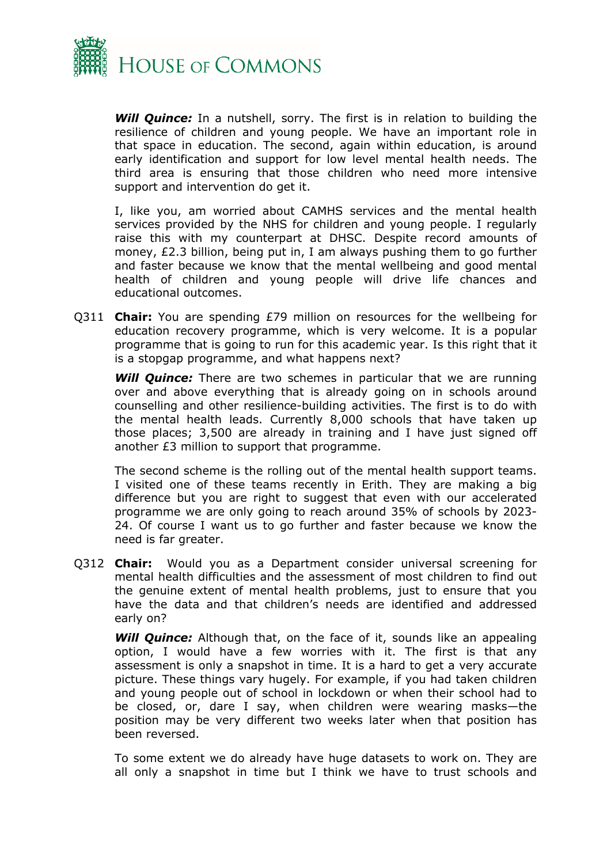

*Will Quince:* In a nutshell, sorry. The first is in relation to building the resilience of children and young people. We have an important role in that space in education. The second, again within education, is around early identification and support for low level mental health needs. The third area is ensuring that those children who need more intensive support and intervention do get it.

I, like you, am worried about CAMHS services and the mental health services provided by the NHS for children and young people. I regularly raise this with my counterpart at DHSC. Despite record amounts of money, £2.3 billion, being put in, I am always pushing them to go further and faster because we know that the mental wellbeing and good mental health of children and young people will drive life chances and educational outcomes.

Q311 **Chair:** You are spending £79 million on resources for the wellbeing for education recovery programme, which is very welcome. It is a popular programme that is going to run for this academic year. Is this right that it is a stopgap programme, and what happens next?

*Will Quince:* There are two schemes in particular that we are running over and above everything that is already going on in schools around counselling and other resilience-building activities. The first is to do with the mental health leads. Currently 8,000 schools that have taken up those places; 3,500 are already in training and I have just signed off another £3 million to support that programme.

The second scheme is the rolling out of the mental health support teams. I visited one of these teams recently in Erith. They are making a big difference but you are right to suggest that even with our accelerated programme we are only going to reach around 35% of schools by 2023- 24. Of course I want us to go further and faster because we know the need is far greater.

Q312 **Chair:** Would you as a Department consider universal screening for mental health difficulties and the assessment of most children to find out the genuine extent of mental health problems, just to ensure that you have the data and that children's needs are identified and addressed early on?

**Will Quince:** Although that, on the face of it, sounds like an appealing option, I would have a few worries with it. The first is that any assessment is only a snapshot in time. It is a hard to get a very accurate picture. These things vary hugely. For example, if you had taken children and young people out of school in lockdown or when their school had to be closed, or, dare I say, when children were wearing masks—the position may be very different two weeks later when that position has been reversed.

To some extent we do already have huge datasets to work on. They are all only a snapshot in time but I think we have to trust schools and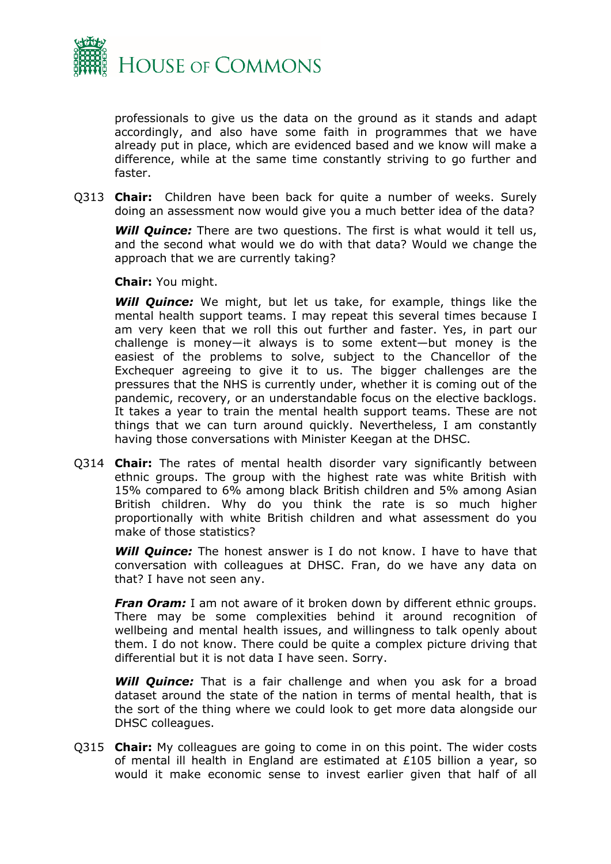

professionals to give us the data on the ground as it stands and adapt accordingly, and also have some faith in programmes that we have already put in place, which are evidenced based and we know will make a difference, while at the same time constantly striving to go further and faster.

Q313 **Chair:** Children have been back for quite a number of weeks. Surely doing an assessment now would give you a much better idea of the data?

*Will Quince:* There are two questions. The first is what would it tell us, and the second what would we do with that data? Would we change the approach that we are currently taking?

**Chair:** You might.

*Will Quince:* We might, but let us take, for example, things like the mental health support teams. I may repeat this several times because I am very keen that we roll this out further and faster. Yes, in part our challenge is money—it always is to some extent—but money is the easiest of the problems to solve, subject to the Chancellor of the Exchequer agreeing to give it to us. The bigger challenges are the pressures that the NHS is currently under, whether it is coming out of the pandemic, recovery, or an understandable focus on the elective backlogs. It takes a year to train the mental health support teams. These are not things that we can turn around quickly. Nevertheless, I am constantly having those conversations with Minister Keegan at the DHSC.

Q314 **Chair:** The rates of mental health disorder vary significantly between ethnic groups. The group with the highest rate was white British with 15% compared to 6% among black British children and 5% among Asian British children. Why do you think the rate is so much higher proportionally with white British children and what assessment do you make of those statistics?

*Will Quince:* The honest answer is I do not know. I have to have that conversation with colleagues at DHSC. Fran, do we have any data on that? I have not seen any.

*Fran Oram:* I am not aware of it broken down by different ethnic groups. There may be some complexities behind it around recognition of wellbeing and mental health issues, and willingness to talk openly about them. I do not know. There could be quite a complex picture driving that differential but it is not data I have seen. Sorry.

**Will Quince:** That is a fair challenge and when you ask for a broad dataset around the state of the nation in terms of mental health, that is the sort of the thing where we could look to get more data alongside our DHSC colleagues.

Q315 **Chair:** My colleagues are going to come in on this point. The wider costs of mental ill health in England are estimated at £105 billion a year, so would it make economic sense to invest earlier given that half of all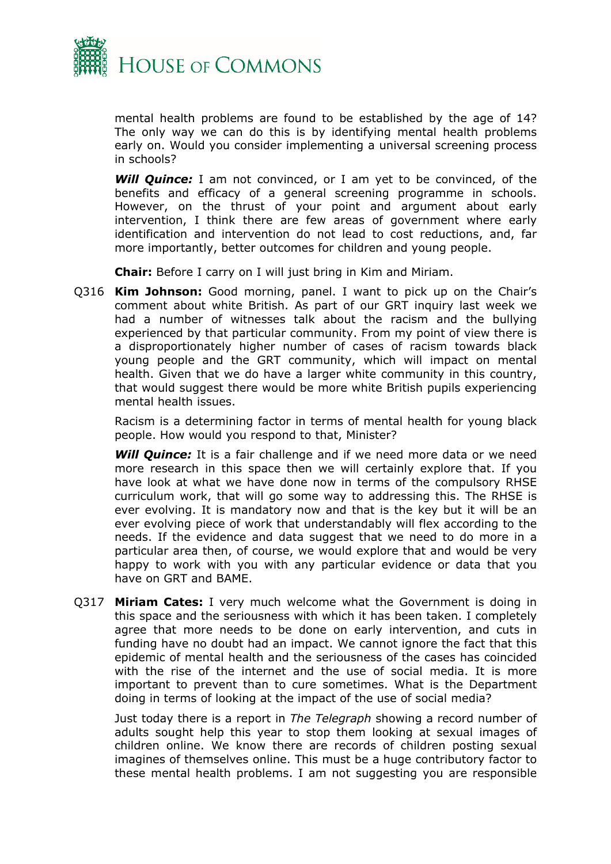

mental health problems are found to be established by the age of 14? The only way we can do this is by identifying mental health problems early on. Would you consider implementing a universal screening process in schools?

*Will Quince:* I am not convinced, or I am yet to be convinced, of the benefits and efficacy of a general screening programme in schools. However, on the thrust of your point and argument about early intervention, I think there are few areas of government where early identification and intervention do not lead to cost reductions, and, far more importantly, better outcomes for children and young people.

**Chair:** Before I carry on I will just bring in Kim and Miriam.

Q316 **Kim Johnson:** Good morning, panel. I want to pick up on the Chair's comment about white British. As part of our GRT inquiry last week we had a number of witnesses talk about the racism and the bullying experienced by that particular community. From my point of view there is a disproportionately higher number of cases of racism towards black young people and the GRT community, which will impact on mental health. Given that we do have a larger white community in this country, that would suggest there would be more white British pupils experiencing mental health issues.

Racism is a determining factor in terms of mental health for young black people. How would you respond to that, Minister?

*Will Quince:* It is a fair challenge and if we need more data or we need more research in this space then we will certainly explore that. If you have look at what we have done now in terms of the compulsory RHSE curriculum work, that will go some way to addressing this. The RHSE is ever evolving. It is mandatory now and that is the key but it will be an ever evolving piece of work that understandably will flex according to the needs. If the evidence and data suggest that we need to do more in a particular area then, of course, we would explore that and would be very happy to work with you with any particular evidence or data that you have on GRT and BAME.

Q317 **Miriam Cates:** I very much welcome what the Government is doing in this space and the seriousness with which it has been taken. I completely agree that more needs to be done on early intervention, and cuts in funding have no doubt had an impact. We cannot ignore the fact that this epidemic of mental health and the seriousness of the cases has coincided with the rise of the internet and the use of social media. It is more important to prevent than to cure sometimes. What is the Department doing in terms of looking at the impact of the use of social media?

Just today there is a report in *The Telegraph* showing a record number of adults sought help this year to stop them looking at sexual images of children online. We know there are records of children posting sexual imagines of themselves online. This must be a huge contributory factor to these mental health problems. I am not suggesting you are responsible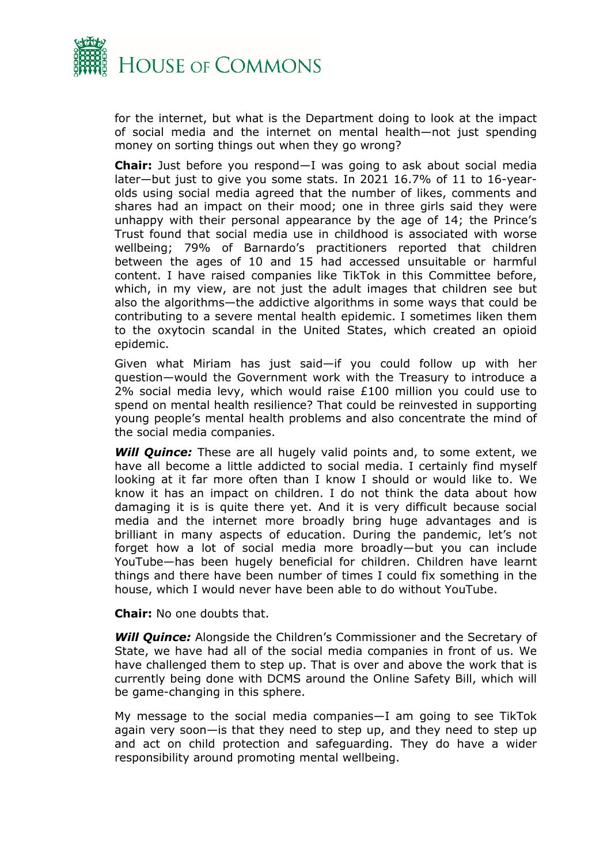

for the internet, but what is the Department doing to look at the impact of social media and the internet on mental health—not just spending money on sorting things out when they go wrong?

**Chair:** Just before you respond—I was going to ask about social media later—but just to give you some stats. In 2021 16.7% of 11 to 16-yearolds using social media agreed that the number of likes, comments and shares had an impact on their mood; one in three girls said they were unhappy with their personal appearance by the age of 14; the Prince's Trust found that social media use in childhood is associated with worse wellbeing; 79% of Barnardo's practitioners reported that children between the ages of 10 and 15 had accessed unsuitable or harmful content. I have raised companies like TikTok in this Committee before, which, in my view, are not just the adult images that children see but also the algorithms—the addictive algorithms in some ways that could be contributing to a severe mental health epidemic. I sometimes liken them to the oxytocin scandal in the United States, which created an opioid epidemic.

Given what Miriam has just said—if you could follow up with her question—would the Government work with the Treasury to introduce a 2% social media levy, which would raise £100 million you could use to spend on mental health resilience? That could be reinvested in supporting young people's mental health problems and also concentrate the mind of the social media companies.

*Will Quince:* These are all hugely valid points and, to some extent, we have all become a little addicted to social media. I certainly find myself looking at it far more often than I know I should or would like to. We know it has an impact on children. I do not think the data about how damaging it is is quite there yet. And it is very difficult because social media and the internet more broadly bring huge advantages and is brilliant in many aspects of education. During the pandemic, let's not forget how a lot of social media more broadly—but you can include YouTube—has been hugely beneficial for children. Children have learnt things and there have been number of times I could fix something in the house, which I would never have been able to do without YouTube.

**Chair:** No one doubts that.

*Will Quince:* Alongside the Children's Commissioner and the Secretary of State, we have had all of the social media companies in front of us. We have challenged them to step up. That is over and above the work that is currently being done with DCMS around the Online Safety Bill, which will be game-changing in this sphere.

My message to the social media companies—I am going to see TikTok again very soon—is that they need to step up, and they need to step up and act on child protection and safeguarding. They do have a wider responsibility around promoting mental wellbeing.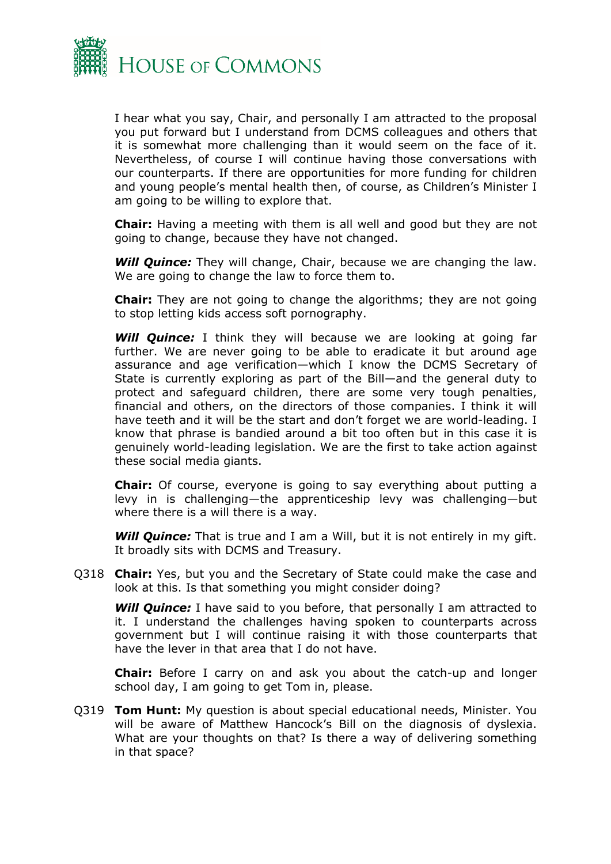

I hear what you say, Chair, and personally I am attracted to the proposal you put forward but I understand from DCMS colleagues and others that it is somewhat more challenging than it would seem on the face of it. Nevertheless, of course I will continue having those conversations with our counterparts. If there are opportunities for more funding for children and young people's mental health then, of course, as Children's Minister I am going to be willing to explore that.

**Chair:** Having a meeting with them is all well and good but they are not going to change, because they have not changed.

*Will Quince:* They will change, Chair, because we are changing the law. We are going to change the law to force them to.

**Chair:** They are not going to change the algorithms; they are not going to stop letting kids access soft pornography.

*Will Quince:* I think they will because we are looking at going far further. We are never going to be able to eradicate it but around age assurance and age verification—which I know the DCMS Secretary of State is currently exploring as part of the Bill—and the general duty to protect and safeguard children, there are some very tough penalties, financial and others, on the directors of those companies. I think it will have teeth and it will be the start and don't forget we are world-leading. I know that phrase is bandied around a bit too often but in this case it is genuinely world-leading legislation. We are the first to take action against these social media giants.

**Chair:** Of course, everyone is going to say everything about putting a levy in is challenging—the apprenticeship levy was challenging—but where there is a will there is a way.

*Will Quince:* That is true and I am a Will, but it is not entirely in my gift. It broadly sits with DCMS and Treasury.

Q318 **Chair:** Yes, but you and the Secretary of State could make the case and look at this. Is that something you might consider doing?

**Will Quince:** I have said to you before, that personally I am attracted to it. I understand the challenges having spoken to counterparts across government but I will continue raising it with those counterparts that have the lever in that area that I do not have.

**Chair:** Before I carry on and ask you about the catch-up and longer school day, I am going to get Tom in, please.

Q319 **Tom Hunt:** My question is about special educational needs, Minister. You will be aware of Matthew Hancock's Bill on the diagnosis of dyslexia. What are your thoughts on that? Is there a way of delivering something in that space?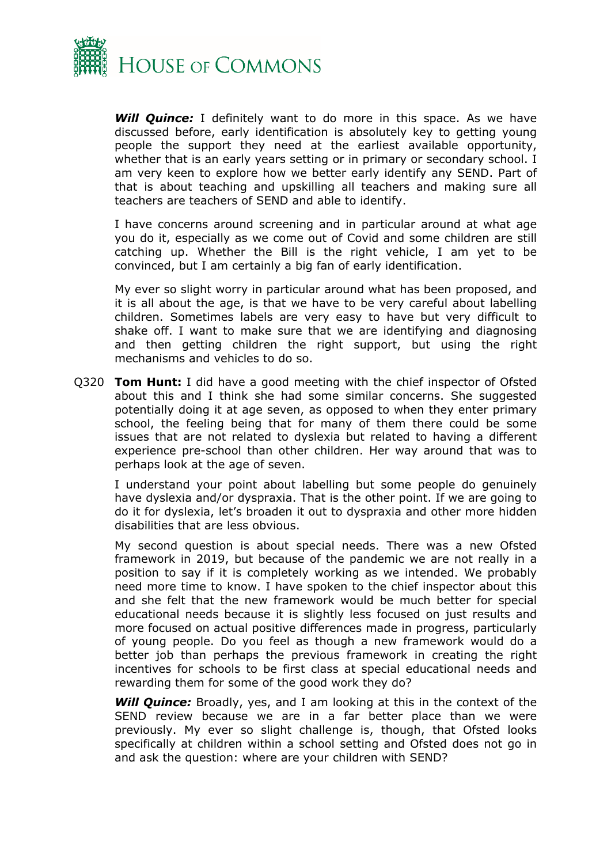

**Will Quince:** I definitely want to do more in this space. As we have discussed before, early identification is absolutely key to getting young people the support they need at the earliest available opportunity, whether that is an early years setting or in primary or secondary school. I am very keen to explore how we better early identify any SEND. Part of that is about teaching and upskilling all teachers and making sure all teachers are teachers of SEND and able to identify.

I have concerns around screening and in particular around at what age you do it, especially as we come out of Covid and some children are still catching up. Whether the Bill is the right vehicle, I am yet to be convinced, but I am certainly a big fan of early identification.

My ever so slight worry in particular around what has been proposed, and it is all about the age, is that we have to be very careful about labelling children. Sometimes labels are very easy to have but very difficult to shake off. I want to make sure that we are identifying and diagnosing and then getting children the right support, but using the right mechanisms and vehicles to do so.

Q320 **Tom Hunt:** I did have a good meeting with the chief inspector of Ofsted about this and I think she had some similar concerns. She suggested potentially doing it at age seven, as opposed to when they enter primary school, the feeling being that for many of them there could be some issues that are not related to dyslexia but related to having a different experience pre-school than other children. Her way around that was to perhaps look at the age of seven.

I understand your point about labelling but some people do genuinely have dyslexia and/or dyspraxia. That is the other point. If we are going to do it for dyslexia, let's broaden it out to dyspraxia and other more hidden disabilities that are less obvious.

My second question is about special needs. There was a new Ofsted framework in 2019, but because of the pandemic we are not really in a position to say if it is completely working as we intended. We probably need more time to know. I have spoken to the chief inspector about this and she felt that the new framework would be much better for special educational needs because it is slightly less focused on just results and more focused on actual positive differences made in progress, particularly of young people. Do you feel as though a new framework would do a better job than perhaps the previous framework in creating the right incentives for schools to be first class at special educational needs and rewarding them for some of the good work they do?

*Will Quince:* Broadly, yes, and I am looking at this in the context of the SEND review because we are in a far better place than we were previously. My ever so slight challenge is, though, that Ofsted looks specifically at children within a school setting and Ofsted does not go in and ask the question: where are your children with SEND?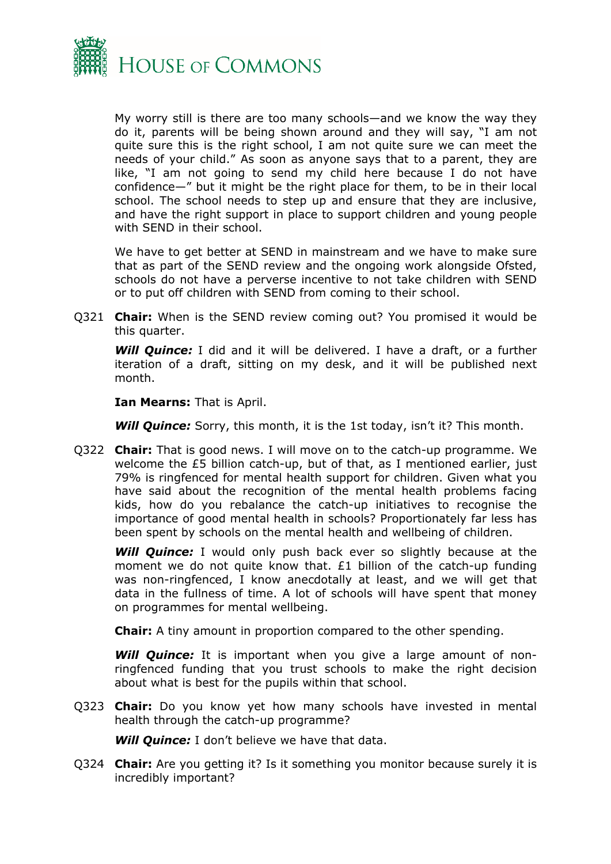

My worry still is there are too many schools—and we know the way they do it, parents will be being shown around and they will say, "I am not quite sure this is the right school, I am not quite sure we can meet the needs of your child." As soon as anyone says that to a parent, they are like, "I am not going to send my child here because I do not have confidence—" but it might be the right place for them, to be in their local school. The school needs to step up and ensure that they are inclusive, and have the right support in place to support children and young people with SEND in their school.

We have to get better at SEND in mainstream and we have to make sure that as part of the SEND review and the ongoing work alongside Ofsted, schools do not have a perverse incentive to not take children with SEND or to put off children with SEND from coming to their school.

Q321 **Chair:** When is the SEND review coming out? You promised it would be this quarter.

*Will Quince:* I did and it will be delivered. I have a draft, or a further iteration of a draft, sitting on my desk, and it will be published next month.

**Ian Mearns:** That is April.

*Will Quince:* Sorry, this month, it is the 1st today, isn't it? This month.

Q322 **Chair:** That is good news. I will move on to the catch-up programme. We welcome the £5 billion catch-up, but of that, as I mentioned earlier, just 79% is ringfenced for mental health support for children. Given what you have said about the recognition of the mental health problems facing kids, how do you rebalance the catch-up initiatives to recognise the importance of good mental health in schools? Proportionately far less has been spent by schools on the mental health and wellbeing of children.

**Will Quince:** I would only push back ever so slightly because at the moment we do not quite know that. £1 billion of the catch-up funding was non-ringfenced, I know anecdotally at least, and we will get that data in the fullness of time. A lot of schools will have spent that money on programmes for mental wellbeing.

**Chair:** A tiny amount in proportion compared to the other spending.

**Will Quince:** It is important when you give a large amount of nonringfenced funding that you trust schools to make the right decision about what is best for the pupils within that school.

Q323 **Chair:** Do you know yet how many schools have invested in mental health through the catch-up programme?

*Will Quince:* I don't believe we have that data.

Q324 **Chair:** Are you getting it? Is it something you monitor because surely it is incredibly important?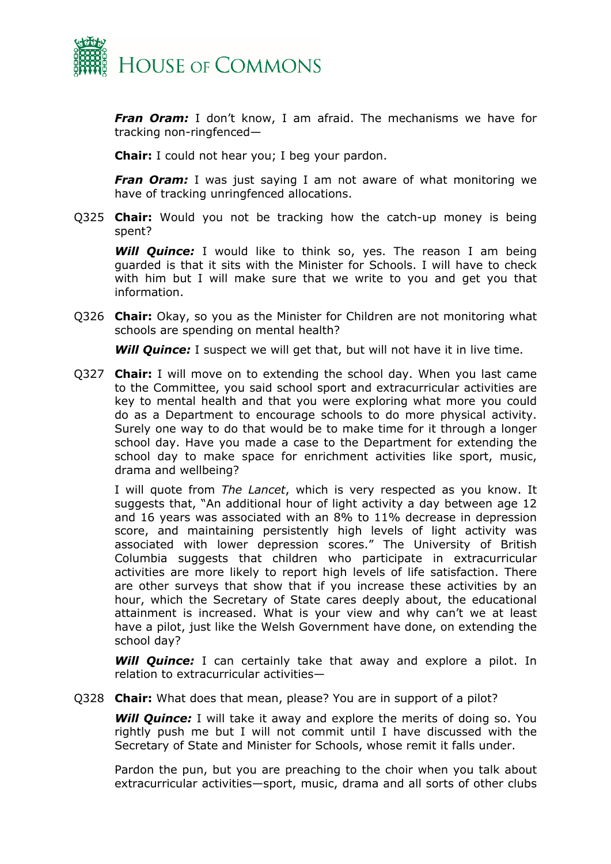

*Fran Oram:* I don't know, I am afraid. The mechanisms we have for tracking non-ringfenced—

**Chair:** I could not hear you; I beg your pardon.

**Fran Oram:** I was just saying I am not aware of what monitoring we have of tracking unringfenced allocations.

Q325 **Chair:** Would you not be tracking how the catch-up money is being spent?

**Will Quince:** I would like to think so, yes. The reason I am being guarded is that it sits with the Minister for Schools. I will have to check with him but I will make sure that we write to you and get you that information.

Q326 **Chair:** Okay, so you as the Minister for Children are not monitoring what schools are spending on mental health?

**Will Quince:** I suspect we will get that, but will not have it in live time.

Q327 **Chair:** I will move on to extending the school day. When you last came to the Committee, you said school sport and extracurricular activities are key to mental health and that you were exploring what more you could do as a Department to encourage schools to do more physical activity. Surely one way to do that would be to make time for it through a longer school day. Have you made a case to the Department for extending the school day to make space for enrichment activities like sport, music, drama and wellbeing?

I will quote from *The Lancet*, which is very respected as you know. It suggests that, "An additional hour of light activity a day between age 12 and 16 years was associated with an 8% to 11% decrease in depression score, and maintaining persistently high levels of light activity was associated with lower depression scores." The University of British Columbia suggests that children who participate in extracurricular activities are more likely to report high levels of life satisfaction. There are other surveys that show that if you increase these activities by an hour, which the Secretary of State cares deeply about, the educational attainment is increased. What is your view and why can't we at least have a pilot, just like the Welsh Government have done, on extending the school day?

*Will Quince:* I can certainly take that away and explore a pilot. In relation to extracurricular activities—

Q328 **Chair:** What does that mean, please? You are in support of a pilot?

*Will Quince:* I will take it away and explore the merits of doing so. You rightly push me but I will not commit until I have discussed with the Secretary of State and Minister for Schools, whose remit it falls under.

Pardon the pun, but you are preaching to the choir when you talk about extracurricular activities—sport, music, drama and all sorts of other clubs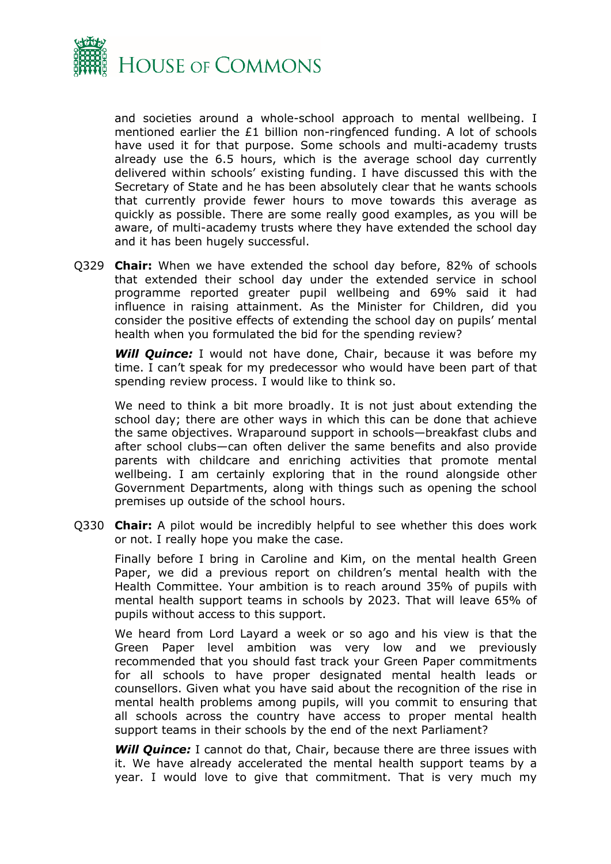

and societies around a whole-school approach to mental wellbeing. I mentioned earlier the £1 billion non-ringfenced funding. A lot of schools have used it for that purpose. Some schools and multi-academy trusts already use the 6.5 hours, which is the average school day currently delivered within schools' existing funding. I have discussed this with the Secretary of State and he has been absolutely clear that he wants schools that currently provide fewer hours to move towards this average as quickly as possible. There are some really good examples, as you will be aware, of multi-academy trusts where they have extended the school day and it has been hugely successful.

Q329 **Chair:** When we have extended the school day before, 82% of schools that extended their school day under the extended service in school programme reported greater pupil wellbeing and 69% said it had influence in raising attainment. As the Minister for Children, did you consider the positive effects of extending the school day on pupils' mental health when you formulated the bid for the spending review?

*Will Quince:* I would not have done, Chair, because it was before my time. I can't speak for my predecessor who would have been part of that spending review process. I would like to think so.

We need to think a bit more broadly. It is not just about extending the school day; there are other ways in which this can be done that achieve the same objectives. Wraparound support in schools—breakfast clubs and after school clubs—can often deliver the same benefits and also provide parents with childcare and enriching activities that promote mental wellbeing. I am certainly exploring that in the round alongside other Government Departments, along with things such as opening the school premises up outside of the school hours.

Q330 **Chair:** A pilot would be incredibly helpful to see whether this does work or not. I really hope you make the case.

Finally before I bring in Caroline and Kim, on the mental health Green Paper, we did a previous report on children's mental health with the Health Committee. Your ambition is to reach around 35% of pupils with mental health support teams in schools by 2023. That will leave 65% of pupils without access to this support.

We heard from Lord Layard a week or so ago and his view is that the Green Paper level ambition was very low and we previously recommended that you should fast track your Green Paper commitments for all schools to have proper designated mental health leads or counsellors. Given what you have said about the recognition of the rise in mental health problems among pupils, will you commit to ensuring that all schools across the country have access to proper mental health support teams in their schools by the end of the next Parliament?

**Will Quince:** I cannot do that, Chair, because there are three issues with it. We have already accelerated the mental health support teams by a year. I would love to give that commitment. That is very much my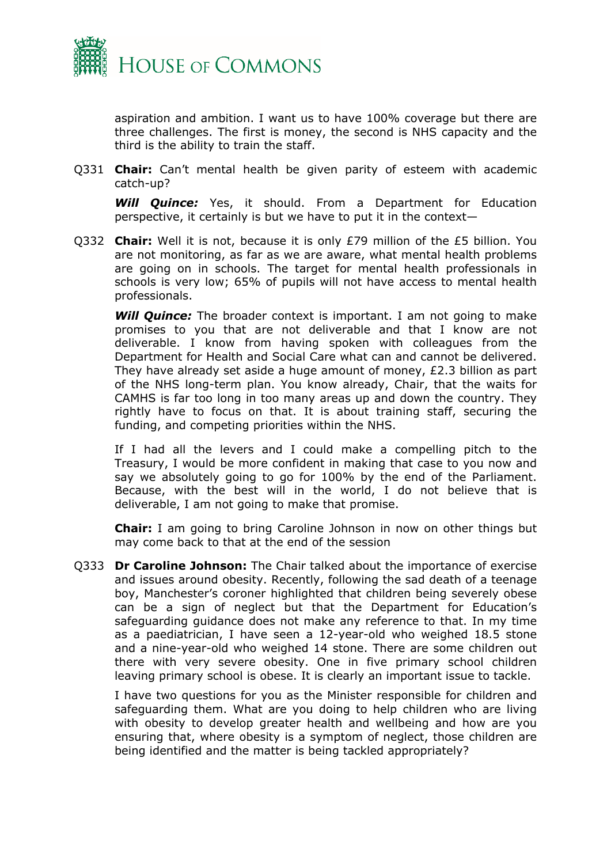

aspiration and ambition. I want us to have 100% coverage but there are three challenges. The first is money, the second is NHS capacity and the third is the ability to train the staff.

Q331 **Chair:** Can't mental health be given parity of esteem with academic catch-up?

*Will Quince:* Yes, it should. From a Department for Education perspective, it certainly is but we have to put it in the context—

Q332 **Chair:** Well it is not, because it is only £79 million of the £5 billion. You are not monitoring, as far as we are aware, what mental health problems are going on in schools. The target for mental health professionals in schools is very low; 65% of pupils will not have access to mental health professionals.

**Will Quince:** The broader context is important. I am not going to make promises to you that are not deliverable and that I know are not deliverable. I know from having spoken with colleagues from the Department for Health and Social Care what can and cannot be delivered. They have already set aside a huge amount of money, £2.3 billion as part of the NHS long-term plan. You know already, Chair, that the waits for CAMHS is far too long in too many areas up and down the country. They rightly have to focus on that. It is about training staff, securing the funding, and competing priorities within the NHS.

If I had all the levers and I could make a compelling pitch to the Treasury, I would be more confident in making that case to you now and say we absolutely going to go for 100% by the end of the Parliament. Because, with the best will in the world, I do not believe that is deliverable, I am not going to make that promise.

**Chair:** I am going to bring Caroline Johnson in now on other things but may come back to that at the end of the session

Q333 **Dr Caroline Johnson:** The Chair talked about the importance of exercise and issues around obesity. Recently, following the sad death of a teenage boy, Manchester's coroner highlighted that children being severely obese can be a sign of neglect but that the Department for Education's safeguarding guidance does not make any reference to that. In my time as a paediatrician, I have seen a 12-year-old who weighed 18.5 stone and a nine-year-old who weighed 14 stone. There are some children out there with very severe obesity. One in five primary school children leaving primary school is obese. It is clearly an important issue to tackle.

I have two questions for you as the Minister responsible for children and safeguarding them. What are you doing to help children who are living with obesity to develop greater health and wellbeing and how are you ensuring that, where obesity is a symptom of neglect, those children are being identified and the matter is being tackled appropriately?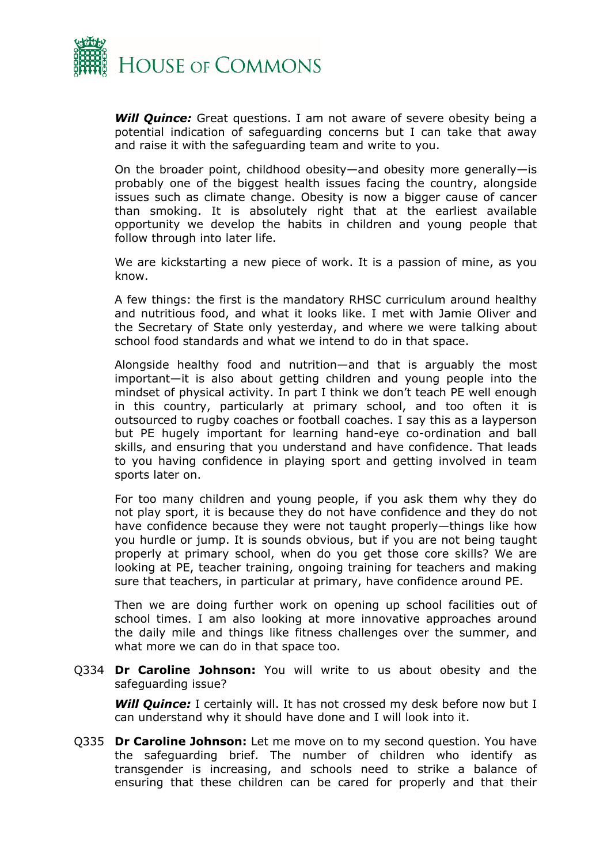

*Will Quince:* Great questions. I am not aware of severe obesity being a potential indication of safeguarding concerns but I can take that away and raise it with the safeguarding team and write to you.

On the broader point, childhood obesity—and obesity more generally—is probably one of the biggest health issues facing the country, alongside issues such as climate change. Obesity is now a bigger cause of cancer than smoking. It is absolutely right that at the earliest available opportunity we develop the habits in children and young people that follow through into later life.

We are kickstarting a new piece of work. It is a passion of mine, as you know.

A few things: the first is the mandatory RHSC curriculum around healthy and nutritious food, and what it looks like. I met with Jamie Oliver and the Secretary of State only yesterday, and where we were talking about school food standards and what we intend to do in that space.

Alongside healthy food and nutrition—and that is arguably the most important—it is also about getting children and young people into the mindset of physical activity. In part I think we don't teach PE well enough in this country, particularly at primary school, and too often it is outsourced to rugby coaches or football coaches. I say this as a layperson but PE hugely important for learning hand-eye co-ordination and ball skills, and ensuring that you understand and have confidence. That leads to you having confidence in playing sport and getting involved in team sports later on.

For too many children and young people, if you ask them why they do not play sport, it is because they do not have confidence and they do not have confidence because they were not taught properly—things like how you hurdle or jump. It is sounds obvious, but if you are not being taught properly at primary school, when do you get those core skills? We are looking at PE, teacher training, ongoing training for teachers and making sure that teachers, in particular at primary, have confidence around PE.

Then we are doing further work on opening up school facilities out of school times. I am also looking at more innovative approaches around the daily mile and things like fitness challenges over the summer, and what more we can do in that space too.

Q334 **Dr Caroline Johnson:** You will write to us about obesity and the safeguarding issue?

**Will Quince:** I certainly will. It has not crossed my desk before now but I can understand why it should have done and I will look into it.

Q335 **Dr Caroline Johnson:** Let me move on to my second question. You have the safeguarding brief. The number of children who identify as transgender is increasing, and schools need to strike a balance of ensuring that these children can be cared for properly and that their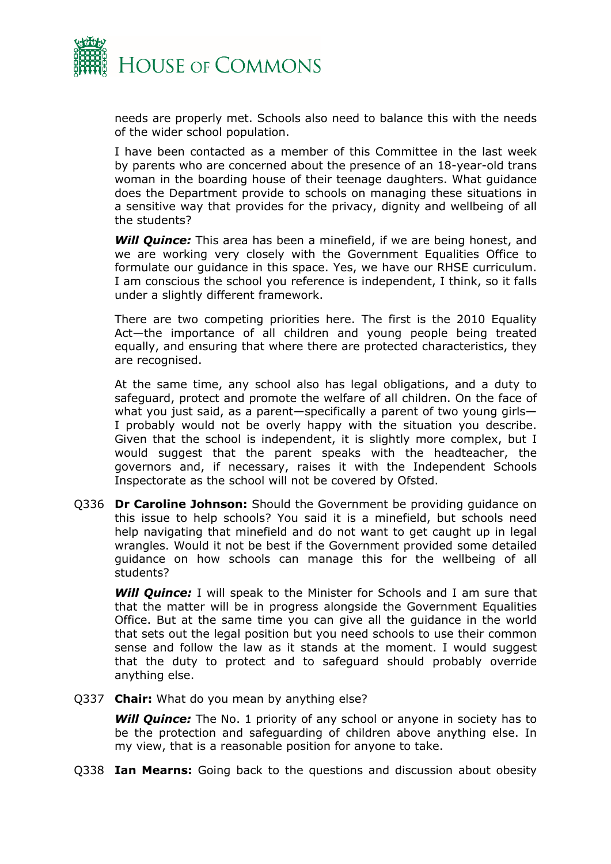

needs are properly met. Schools also need to balance this with the needs of the wider school population.

I have been contacted as a member of this Committee in the last week by parents who are concerned about the presence of an 18-year-old trans woman in the boarding house of their teenage daughters. What guidance does the Department provide to schools on managing these situations in a sensitive way that provides for the privacy, dignity and wellbeing of all the students?

*Will Quince:* This area has been a minefield, if we are being honest, and we are working very closely with the Government Equalities Office to formulate our guidance in this space. Yes, we have our RHSE curriculum. I am conscious the school you reference is independent, I think, so it falls under a slightly different framework.

There are two competing priorities here. The first is the 2010 Equality Act—the importance of all children and young people being treated equally, and ensuring that where there are protected characteristics, they are recognised.

At the same time, any school also has legal obligations, and a duty to safeguard, protect and promote the welfare of all children. On the face of what you just said, as a parent—specifically a parent of two young girls— I probably would not be overly happy with the situation you describe. Given that the school is independent, it is slightly more complex, but I would suggest that the parent speaks with the headteacher, the governors and, if necessary, raises it with the Independent Schools Inspectorate as the school will not be covered by Ofsted.

Q336 **Dr Caroline Johnson:** Should the Government be providing guidance on this issue to help schools? You said it is a minefield, but schools need help navigating that minefield and do not want to get caught up in legal wrangles. Would it not be best if the Government provided some detailed guidance on how schools can manage this for the wellbeing of all students?

*Will Quince:* I will speak to the Minister for Schools and I am sure that that the matter will be in progress alongside the Government Equalities Office. But at the same time you can give all the guidance in the world that sets out the legal position but you need schools to use their common sense and follow the law as it stands at the moment. I would suggest that the duty to protect and to safeguard should probably override anything else.

Q337 **Chair:** What do you mean by anything else?

**Will Quince:** The No. 1 priority of any school or anyone in society has to be the protection and safeguarding of children above anything else. In my view, that is a reasonable position for anyone to take.

Q338 **Ian Mearns:** Going back to the questions and discussion about obesity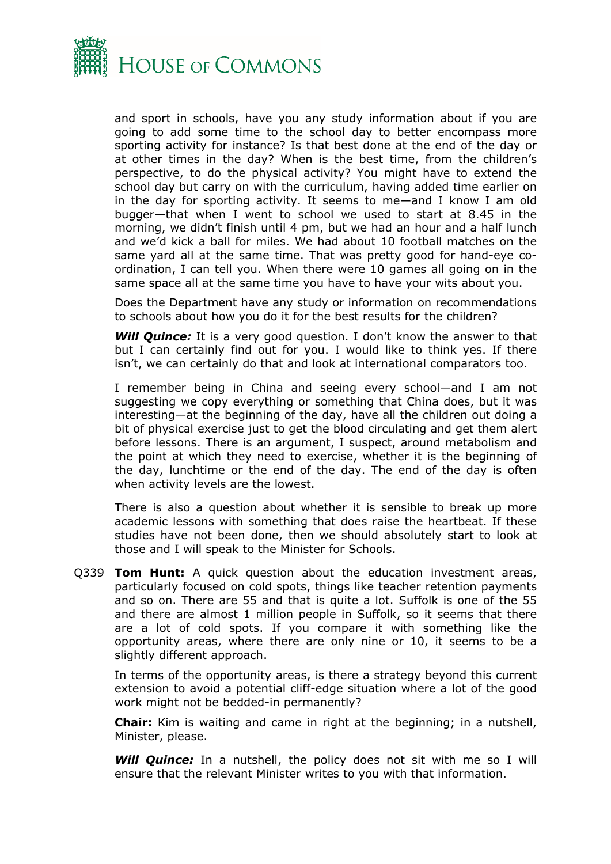

and sport in schools, have you any study information about if you are going to add some time to the school day to better encompass more sporting activity for instance? Is that best done at the end of the day or at other times in the day? When is the best time, from the children's perspective, to do the physical activity? You might have to extend the school day but carry on with the curriculum, having added time earlier on in the day for sporting activity. It seems to me—and I know I am old bugger—that when I went to school we used to start at 8.45 in the morning, we didn't finish until 4 pm, but we had an hour and a half lunch and we'd kick a ball for miles. We had about 10 football matches on the same yard all at the same time. That was pretty good for hand-eye coordination, I can tell you. When there were 10 games all going on in the same space all at the same time you have to have your wits about you.

Does the Department have any study or information on recommendations to schools about how you do it for the best results for the children?

*Will Quince:* It is a very good question. I don't know the answer to that but I can certainly find out for you. I would like to think yes. If there isn't, we can certainly do that and look at international comparators too.

I remember being in China and seeing every school—and I am not suggesting we copy everything or something that China does, but it was interesting—at the beginning of the day, have all the children out doing a bit of physical exercise just to get the blood circulating and get them alert before lessons. There is an argument, I suspect, around metabolism and the point at which they need to exercise, whether it is the beginning of the day, lunchtime or the end of the day. The end of the day is often when activity levels are the lowest.

There is also a question about whether it is sensible to break up more academic lessons with something that does raise the heartbeat. If these studies have not been done, then we should absolutely start to look at those and I will speak to the Minister for Schools.

Q339 **Tom Hunt:** A quick question about the education investment areas, particularly focused on cold spots, things like teacher retention payments and so on. There are 55 and that is quite a lot. Suffolk is one of the 55 and there are almost 1 million people in Suffolk, so it seems that there are a lot of cold spots. If you compare it with something like the opportunity areas, where there are only nine or 10, it seems to be a slightly different approach.

In terms of the opportunity areas, is there a strategy beyond this current extension to avoid a potential cliff-edge situation where a lot of the good work might not be bedded-in permanently?

**Chair:** Kim is waiting and came in right at the beginning; in a nutshell, Minister, please.

**Will Quince:** In a nutshell, the policy does not sit with me so I will ensure that the relevant Minister writes to you with that information.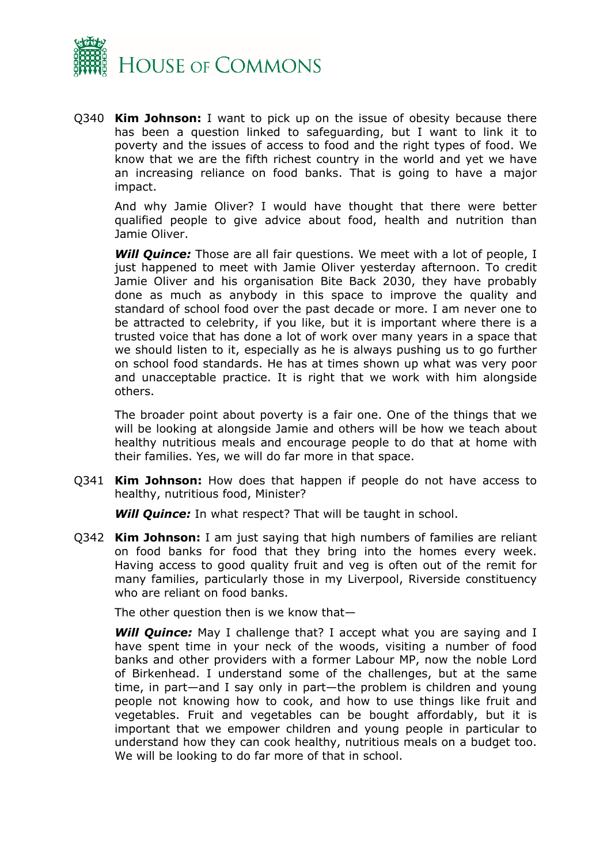

Q340 **Kim Johnson:** I want to pick up on the issue of obesity because there has been a question linked to safeguarding, but I want to link it to poverty and the issues of access to food and the right types of food. We know that we are the fifth richest country in the world and yet we have an increasing reliance on food banks. That is going to have a major impact.

And why Jamie Oliver? I would have thought that there were better qualified people to give advice about food, health and nutrition than Jamie Oliver.

**Will Quince:** Those are all fair questions. We meet with a lot of people, I just happened to meet with Jamie Oliver yesterday afternoon. To credit Jamie Oliver and his organisation Bite Back 2030, they have probably done as much as anybody in this space to improve the quality and standard of school food over the past decade or more. I am never one to be attracted to celebrity, if you like, but it is important where there is a trusted voice that has done a lot of work over many years in a space that we should listen to it, especially as he is always pushing us to go further on school food standards. He has at times shown up what was very poor and unacceptable practice. It is right that we work with him alongside others.

The broader point about poverty is a fair one. One of the things that we will be looking at alongside Jamie and others will be how we teach about healthy nutritious meals and encourage people to do that at home with their families. Yes, we will do far more in that space.

Q341 **Kim Johnson:** How does that happen if people do not have access to healthy, nutritious food, Minister?

*Will Quince:* In what respect? That will be taught in school.

Q342 **Kim Johnson:** I am just saying that high numbers of families are reliant on food banks for food that they bring into the homes every week. Having access to good quality fruit and veg is often out of the remit for many families, particularly those in my Liverpool, Riverside constituency who are reliant on food banks.

The other question then is we know that—

**Will Quince:** May I challenge that? I accept what you are saying and I have spent time in your neck of the woods, visiting a number of food banks and other providers with a former Labour MP, now the noble Lord of Birkenhead. I understand some of the challenges, but at the same time, in part—and I say only in part—the problem is children and young people not knowing how to cook, and how to use things like fruit and vegetables. Fruit and vegetables can be bought affordably, but it is important that we empower children and young people in particular to understand how they can cook healthy, nutritious meals on a budget too. We will be looking to do far more of that in school.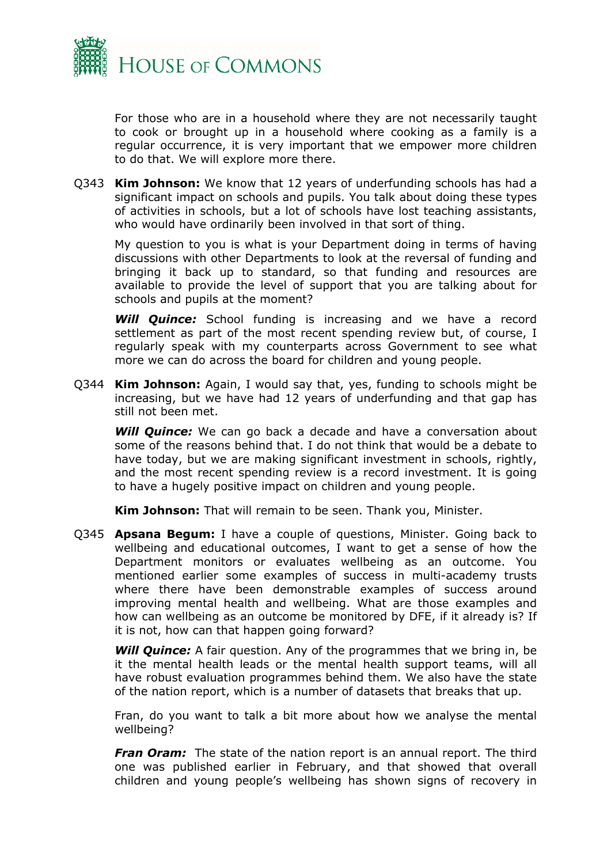

For those who are in a household where they are not necessarily taught to cook or brought up in a household where cooking as a family is a regular occurrence, it is very important that we empower more children to do that. We will explore more there.

Q343 **Kim Johnson:** We know that 12 years of underfunding schools has had a significant impact on schools and pupils. You talk about doing these types of activities in schools, but a lot of schools have lost teaching assistants, who would have ordinarily been involved in that sort of thing.

My question to you is what is your Department doing in terms of having discussions with other Departments to look at the reversal of funding and bringing it back up to standard, so that funding and resources are available to provide the level of support that you are talking about for schools and pupils at the moment?

*Will Quince:* School funding is increasing and we have a record settlement as part of the most recent spending review but, of course, I regularly speak with my counterparts across Government to see what more we can do across the board for children and young people.

Q344 **Kim Johnson:** Again, I would say that, yes, funding to schools might be increasing, but we have had 12 years of underfunding and that gap has still not been met.

**Will Quince:** We can go back a decade and have a conversation about some of the reasons behind that. I do not think that would be a debate to have today, but we are making significant investment in schools, rightly, and the most recent spending review is a record investment. It is going to have a hugely positive impact on children and young people.

**Kim Johnson:** That will remain to be seen. Thank you, Minister.

Q345 **Apsana Begum:** I have a couple of questions, Minister. Going back to wellbeing and educational outcomes, I want to get a sense of how the Department monitors or evaluates wellbeing as an outcome. You mentioned earlier some examples of success in multi-academy trusts where there have been demonstrable examples of success around improving mental health and wellbeing. What are those examples and how can wellbeing as an outcome be monitored by DFE, if it already is? If it is not, how can that happen going forward?

*Will Quince:* A fair question. Any of the programmes that we bring in, be it the mental health leads or the mental health support teams, will all have robust evaluation programmes behind them. We also have the state of the nation report, which is a number of datasets that breaks that up.

Fran, do you want to talk a bit more about how we analyse the mental wellbeing?

*Fran Oram:* The state of the nation report is an annual report. The third one was published earlier in February, and that showed that overall children and young people's wellbeing has shown signs of recovery in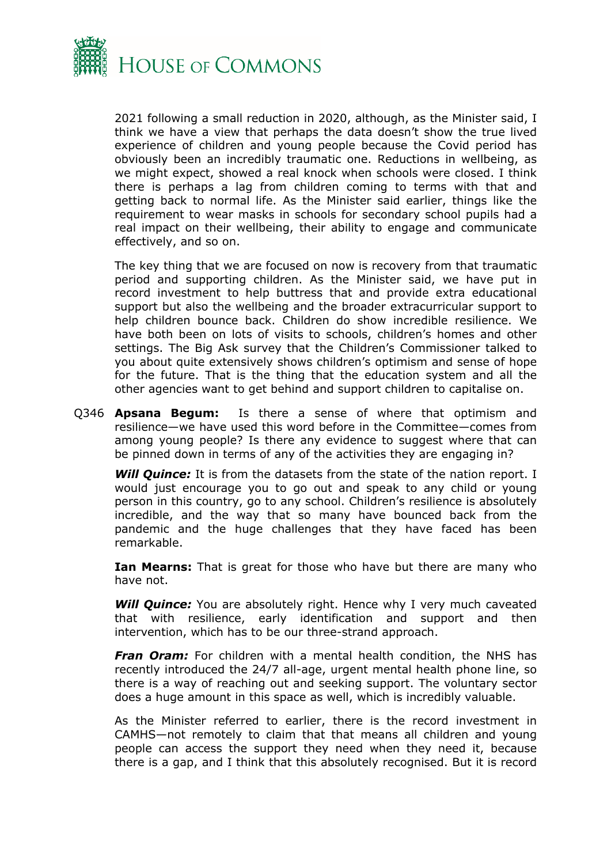

2021 following a small reduction in 2020, although, as the Minister said, I think we have a view that perhaps the data doesn't show the true lived experience of children and young people because the Covid period has obviously been an incredibly traumatic one. Reductions in wellbeing, as we might expect, showed a real knock when schools were closed. I think there is perhaps a lag from children coming to terms with that and getting back to normal life. As the Minister said earlier, things like the requirement to wear masks in schools for secondary school pupils had a real impact on their wellbeing, their ability to engage and communicate effectively, and so on.

The key thing that we are focused on now is recovery from that traumatic period and supporting children. As the Minister said, we have put in record investment to help buttress that and provide extra educational support but also the wellbeing and the broader extracurricular support to help children bounce back. Children do show incredible resilience. We have both been on lots of visits to schools, children's homes and other settings. The Big Ask survey that the Children's Commissioner talked to you about quite extensively shows children's optimism and sense of hope for the future. That is the thing that the education system and all the other agencies want to get behind and support children to capitalise on.

Q346 **Apsana Begum:** Is there a sense of where that optimism and resilience—we have used this word before in the Committee—comes from among young people? Is there any evidence to suggest where that can be pinned down in terms of any of the activities they are engaging in?

*Will Quince:* It is from the datasets from the state of the nation report. I would just encourage you to go out and speak to any child or young person in this country, go to any school. Children's resilience is absolutely incredible, and the way that so many have bounced back from the pandemic and the huge challenges that they have faced has been remarkable.

**Ian Mearns:** That is great for those who have but there are many who have not.

**Will Quince:** You are absolutely right. Hence why I very much caveated that with resilience, early identification and support and then intervention, which has to be our three-strand approach.

*Fran Oram:* For children with a mental health condition, the NHS has recently introduced the 24/7 all-age, urgent mental health phone line, so there is a way of reaching out and seeking support. The voluntary sector does a huge amount in this space as well, which is incredibly valuable.

As the Minister referred to earlier, there is the record investment in CAMHS—not remotely to claim that that means all children and young people can access the support they need when they need it, because there is a gap, and I think that this absolutely recognised. But it is record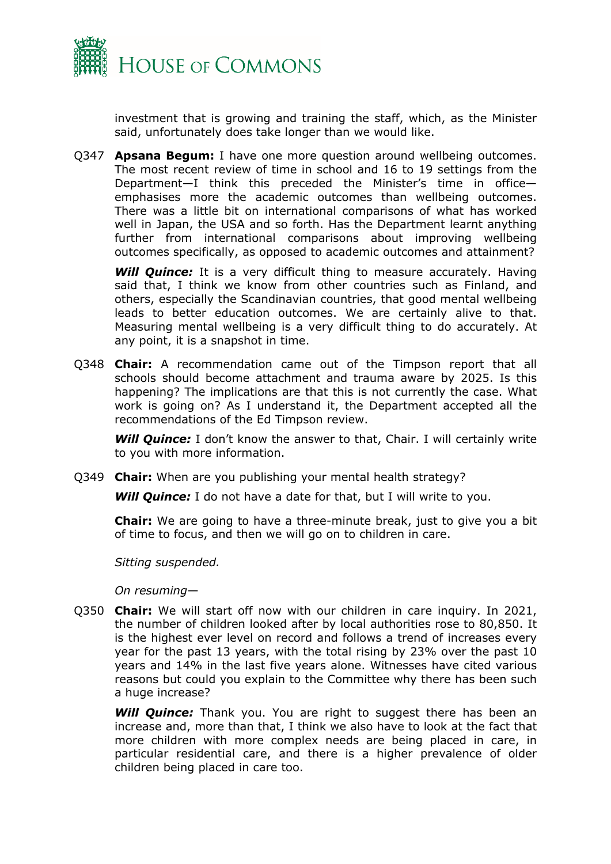

investment that is growing and training the staff, which, as the Minister said, unfortunately does take longer than we would like.

Q347 **Apsana Begum:** I have one more question around wellbeing outcomes. The most recent review of time in school and 16 to 19 settings from the Department—I think this preceded the Minister's time in office emphasises more the academic outcomes than wellbeing outcomes. There was a little bit on international comparisons of what has worked well in Japan, the USA and so forth. Has the Department learnt anything further from international comparisons about improving wellbeing outcomes specifically, as opposed to academic outcomes and attainment?

**Will Quince:** It is a very difficult thing to measure accurately. Having said that, I think we know from other countries such as Finland, and others, especially the Scandinavian countries, that good mental wellbeing leads to better education outcomes. We are certainly alive to that. Measuring mental wellbeing is a very difficult thing to do accurately. At any point, it is a snapshot in time.

Q348 **Chair:** A recommendation came out of the Timpson report that all schools should become attachment and trauma aware by 2025. Is this happening? The implications are that this is not currently the case. What work is going on? As I understand it, the Department accepted all the recommendations of the Ed Timpson review.

**Will Quince:** I don't know the answer to that, Chair. I will certainly write to you with more information.

Q349 **Chair:** When are you publishing your mental health strategy?

*Will Quince:* I do not have a date for that, but I will write to you.

**Chair:** We are going to have a three-minute break, just to give you a bit of time to focus, and then we will go on to children in care.

*Sitting suspended.*

*On resuming*—

Q350 **Chair:** We will start off now with our children in care inquiry. In 2021, the number of children looked after by local authorities rose to 80,850. It is the highest ever level on record and follows a trend of increases every year for the past 13 years, with the total rising by 23% over the past 10 years and 14% in the last five years alone. Witnesses have cited various reasons but could you explain to the Committee why there has been such a huge increase?

*Will Quince:* Thank you. You are right to suggest there has been an increase and, more than that, I think we also have to look at the fact that more children with more complex needs are being placed in care, in particular residential care, and there is a higher prevalence of older children being placed in care too.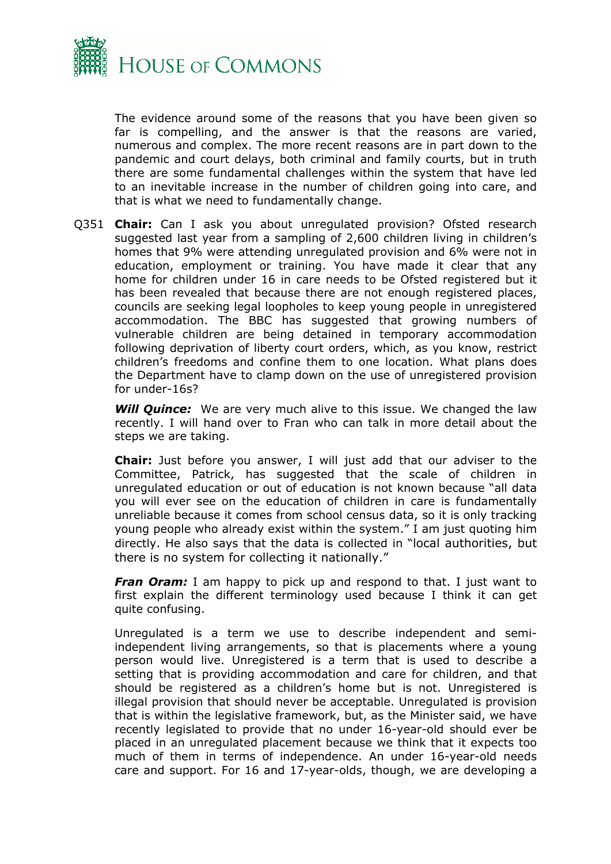

The evidence around some of the reasons that you have been given so far is compelling, and the answer is that the reasons are varied, numerous and complex. The more recent reasons are in part down to the pandemic and court delays, both criminal and family courts, but in truth there are some fundamental challenges within the system that have led to an inevitable increase in the number of children going into care, and that is what we need to fundamentally change.

Q351 **Chair:** Can I ask you about unregulated provision? Ofsted research suggested last year from a sampling of 2,600 children living in children's homes that 9% were attending unregulated provision and 6% were not in education, employment or training. You have made it clear that any home for children under 16 in care needs to be Ofsted registered but it has been revealed that because there are not enough registered places, councils are seeking legal loopholes to keep young people in unregistered accommodation. The BBC has suggested that growing numbers of vulnerable children are being detained in temporary accommodation following deprivation of liberty court orders, which, as you know, restrict children's freedoms and confine them to one location. What plans does the Department have to clamp down on the use of unregistered provision for under-16s?

*Will Quince:* We are very much alive to this issue. We changed the law recently. I will hand over to Fran who can talk in more detail about the steps we are taking.

**Chair:** Just before you answer, I will just add that our adviser to the Committee, Patrick, has suggested that the scale of children in unregulated education or out of education is not known because "all data you will ever see on the education of children in care is fundamentally unreliable because it comes from school census data, so it is only tracking young people who already exist within the system." I am just quoting him directly. He also says that the data is collected in "local authorities, but there is no system for collecting it nationally."

*Fran Oram:* I am happy to pick up and respond to that. I just want to first explain the different terminology used because I think it can get quite confusing.

Unregulated is a term we use to describe independent and semiindependent living arrangements, so that is placements where a young person would live. Unregistered is a term that is used to describe a setting that is providing accommodation and care for children, and that should be registered as a children's home but is not. Unregistered is illegal provision that should never be acceptable. Unregulated is provision that is within the legislative framework, but, as the Minister said, we have recently legislated to provide that no under 16-year-old should ever be placed in an unregulated placement because we think that it expects too much of them in terms of independence. An under 16-year-old needs care and support. For 16 and 17-year-olds, though, we are developing a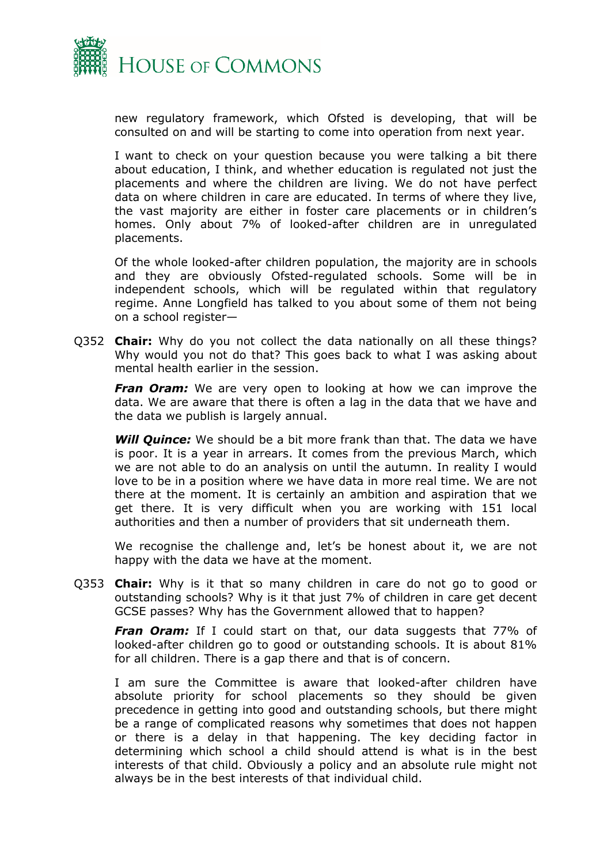

new regulatory framework, which Ofsted is developing, that will be consulted on and will be starting to come into operation from next year.

I want to check on your question because you were talking a bit there about education, I think, and whether education is regulated not just the placements and where the children are living. We do not have perfect data on where children in care are educated. In terms of where they live, the vast majority are either in foster care placements or in children's homes. Only about 7% of looked-after children are in unregulated placements.

Of the whole looked-after children population, the majority are in schools and they are obviously Ofsted-regulated schools. Some will be in independent schools, which will be regulated within that regulatory regime. Anne Longfield has talked to you about some of them not being on a school register—

Q352 **Chair:** Why do you not collect the data nationally on all these things? Why would you not do that? This goes back to what I was asking about mental health earlier in the session.

*Fran Oram:* We are very open to looking at how we can improve the data. We are aware that there is often a lag in the data that we have and the data we publish is largely annual.

*Will Quince:* We should be a bit more frank than that. The data we have is poor. It is a year in arrears. It comes from the previous March, which we are not able to do an analysis on until the autumn. In reality I would love to be in a position where we have data in more real time. We are not there at the moment. It is certainly an ambition and aspiration that we get there. It is very difficult when you are working with 151 local authorities and then a number of providers that sit underneath them.

We recognise the challenge and, let's be honest about it, we are not happy with the data we have at the moment.

Q353 **Chair:** Why is it that so many children in care do not go to good or outstanding schools? Why is it that just 7% of children in care get decent GCSE passes? Why has the Government allowed that to happen?

*Fran Oram:* If I could start on that, our data suggests that 77% of looked-after children go to good or outstanding schools. It is about 81% for all children. There is a gap there and that is of concern.

I am sure the Committee is aware that looked-after children have absolute priority for school placements so they should be given precedence in getting into good and outstanding schools, but there might be a range of complicated reasons why sometimes that does not happen or there is a delay in that happening. The key deciding factor in determining which school a child should attend is what is in the best interests of that child. Obviously a policy and an absolute rule might not always be in the best interests of that individual child.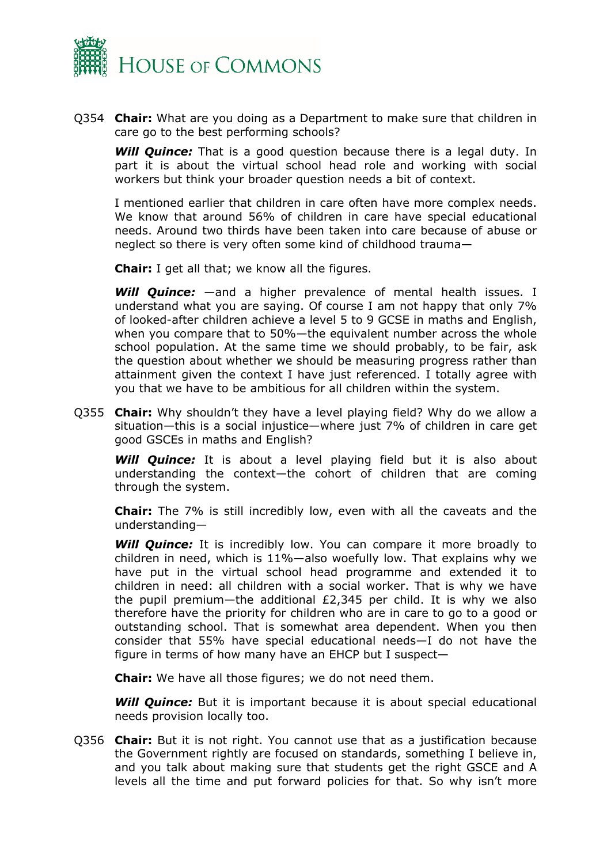

Q354 **Chair:** What are you doing as a Department to make sure that children in care go to the best performing schools?

**Will Quince:** That is a good question because there is a legal duty. In part it is about the virtual school head role and working with social workers but think your broader question needs a bit of context.

I mentioned earlier that children in care often have more complex needs. We know that around 56% of children in care have special educational needs. Around two thirds have been taken into care because of abuse or neglect so there is very often some kind of childhood trauma—

**Chair:** I get all that; we know all the figures.

*Will Quince:* —and a higher prevalence of mental health issues. I understand what you are saying. Of course I am not happy that only 7% of looked-after children achieve a level 5 to 9 GCSE in maths and English, when you compare that to 50%—the equivalent number across the whole school population. At the same time we should probably, to be fair, ask the question about whether we should be measuring progress rather than attainment given the context I have just referenced. I totally agree with you that we have to be ambitious for all children within the system.

Q355 **Chair:** Why shouldn't they have a level playing field? Why do we allow a situation—this is a social injustice—where just 7% of children in care get good GSCEs in maths and English?

**Will Quince:** It is about a level playing field but it is also about understanding the context—the cohort of children that are coming through the system.

**Chair:** The 7% is still incredibly low, even with all the caveats and the understanding—

**Will Quince:** It is incredibly low. You can compare it more broadly to children in need, which is 11%—also woefully low. That explains why we have put in the virtual school head programme and extended it to children in need: all children with a social worker. That is why we have the pupil premium—the additional £2,345 per child. It is why we also therefore have the priority for children who are in care to go to a good or outstanding school. That is somewhat area dependent. When you then consider that 55% have special educational needs—I do not have the figure in terms of how many have an EHCP but I suspect—

**Chair:** We have all those figures; we do not need them.

*Will Quince:* But it is important because it is about special educational needs provision locally too.

Q356 **Chair:** But it is not right. You cannot use that as a justification because the Government rightly are focused on standards, something I believe in, and you talk about making sure that students get the right GSCE and A levels all the time and put forward policies for that. So why isn't more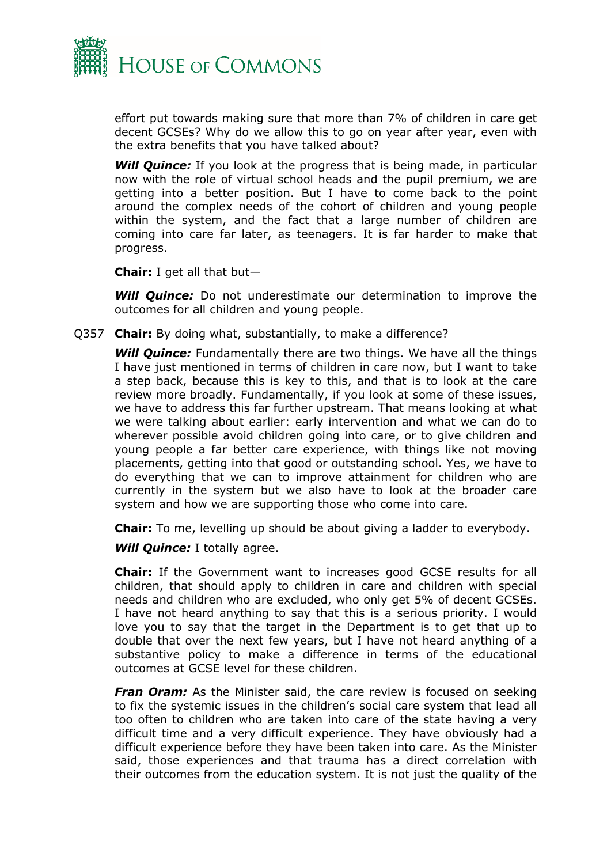

effort put towards making sure that more than 7% of children in care get decent GCSEs? Why do we allow this to go on year after year, even with the extra benefits that you have talked about?

**Will Quince:** If you look at the progress that is being made, in particular now with the role of virtual school heads and the pupil premium, we are getting into a better position. But I have to come back to the point around the complex needs of the cohort of children and young people within the system, and the fact that a large number of children are coming into care far later, as teenagers. It is far harder to make that progress.

**Chair:** I get all that but—

**Will Quince:** Do not underestimate our determination to improve the outcomes for all children and young people.

Q357 **Chair:** By doing what, substantially, to make a difference?

*Will Quince:* Fundamentally there are two things. We have all the things I have just mentioned in terms of children in care now, but I want to take a step back, because this is key to this, and that is to look at the care review more broadly. Fundamentally, if you look at some of these issues, we have to address this far further upstream. That means looking at what we were talking about earlier: early intervention and what we can do to wherever possible avoid children going into care, or to give children and young people a far better care experience, with things like not moving placements, getting into that good or outstanding school. Yes, we have to do everything that we can to improve attainment for children who are currently in the system but we also have to look at the broader care system and how we are supporting those who come into care.

**Chair:** To me, levelling up should be about giving a ladder to everybody.

*Will Quince:* I totally agree.

**Chair:** If the Government want to increases good GCSE results for all children, that should apply to children in care and children with special needs and children who are excluded, who only get 5% of decent GCSEs. I have not heard anything to say that this is a serious priority. I would love you to say that the target in the Department is to get that up to double that over the next few years, but I have not heard anything of a substantive policy to make a difference in terms of the educational outcomes at GCSE level for these children.

*Fran Oram:* As the Minister said, the care review is focused on seeking to fix the systemic issues in the children's social care system that lead all too often to children who are taken into care of the state having a very difficult time and a very difficult experience. They have obviously had a difficult experience before they have been taken into care. As the Minister said, those experiences and that trauma has a direct correlation with their outcomes from the education system. It is not just the quality of the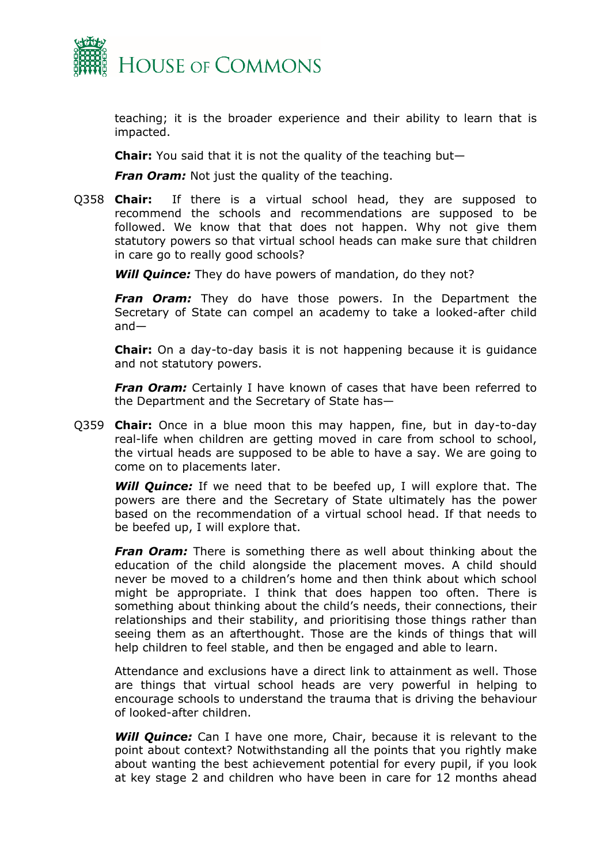

teaching; it is the broader experience and their ability to learn that is impacted.

**Chair:** You said that it is not the quality of the teaching but—

*Fran Oram:* Not just the quality of the teaching.

Q358 **Chair:** If there is a virtual school head, they are supposed to recommend the schools and recommendations are supposed to be followed. We know that that does not happen. Why not give them statutory powers so that virtual school heads can make sure that children in care go to really good schools?

*Will Quince:* They do have powers of mandation, do they not?

*Fran Oram:* They do have those powers. In the Department the Secretary of State can compel an academy to take a looked-after child and—

**Chair:** On a day-to-day basis it is not happening because it is guidance and not statutory powers.

*Fran Oram:* Certainly I have known of cases that have been referred to the Department and the Secretary of State has—

Q359 **Chair:** Once in a blue moon this may happen, fine, but in day-to-day real-life when children are getting moved in care from school to school, the virtual heads are supposed to be able to have a say. We are going to come on to placements later.

*Will Quince:* If we need that to be beefed up, I will explore that. The powers are there and the Secretary of State ultimately has the power based on the recommendation of a virtual school head. If that needs to be beefed up, I will explore that.

*Fran Oram:* There is something there as well about thinking about the education of the child alongside the placement moves. A child should never be moved to a children's home and then think about which school might be appropriate. I think that does happen too often. There is something about thinking about the child's needs, their connections, their relationships and their stability, and prioritising those things rather than seeing them as an afterthought. Those are the kinds of things that will help children to feel stable, and then be engaged and able to learn.

Attendance and exclusions have a direct link to attainment as well. Those are things that virtual school heads are very powerful in helping to encourage schools to understand the trauma that is driving the behaviour of looked-after children.

*Will Quince:* Can I have one more, Chair, because it is relevant to the point about context? Notwithstanding all the points that you rightly make about wanting the best achievement potential for every pupil, if you look at key stage 2 and children who have been in care for 12 months ahead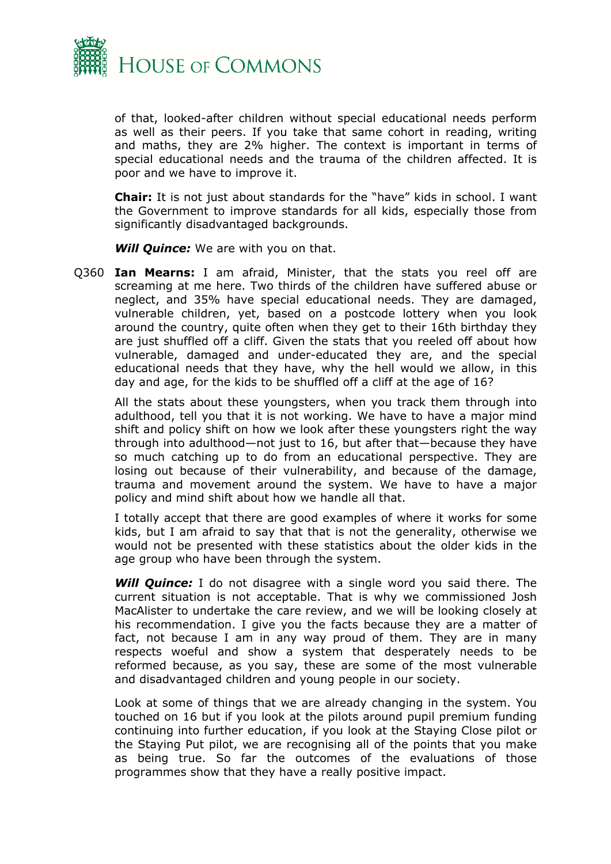

of that, looked-after children without special educational needs perform as well as their peers. If you take that same cohort in reading, writing and maths, they are 2% higher. The context is important in terms of special educational needs and the trauma of the children affected. It is poor and we have to improve it.

**Chair:** It is not just about standards for the "have" kids in school. I want the Government to improve standards for all kids, especially those from significantly disadvantaged backgrounds.

*Will Quince:* We are with you on that.

Q360 **Ian Mearns:** I am afraid, Minister, that the stats you reel off are screaming at me here. Two thirds of the children have suffered abuse or neglect, and 35% have special educational needs. They are damaged, vulnerable children, yet, based on a postcode lottery when you look around the country, quite often when they get to their 16th birthday they are just shuffled off a cliff. Given the stats that you reeled off about how vulnerable, damaged and under-educated they are, and the special educational needs that they have, why the hell would we allow, in this day and age, for the kids to be shuffled off a cliff at the age of 16?

All the stats about these youngsters, when you track them through into adulthood, tell you that it is not working. We have to have a major mind shift and policy shift on how we look after these youngsters right the way through into adulthood—not just to 16, but after that—because they have so much catching up to do from an educational perspective. They are losing out because of their vulnerability, and because of the damage, trauma and movement around the system. We have to have a major policy and mind shift about how we handle all that.

I totally accept that there are good examples of where it works for some kids, but I am afraid to say that that is not the generality, otherwise we would not be presented with these statistics about the older kids in the age group who have been through the system.

*Will Quince:* I do not disagree with a single word you said there. The current situation is not acceptable. That is why we commissioned Josh MacAlister to undertake the care review, and we will be looking closely at his recommendation. I give you the facts because they are a matter of fact, not because I am in any way proud of them. They are in many respects woeful and show a system that desperately needs to be reformed because, as you say, these are some of the most vulnerable and disadvantaged children and young people in our society.

Look at some of things that we are already changing in the system. You touched on 16 but if you look at the pilots around pupil premium funding continuing into further education, if you look at the Staying Close pilot or the Staying Put pilot, we are recognising all of the points that you make as being true. So far the outcomes of the evaluations of those programmes show that they have a really positive impact.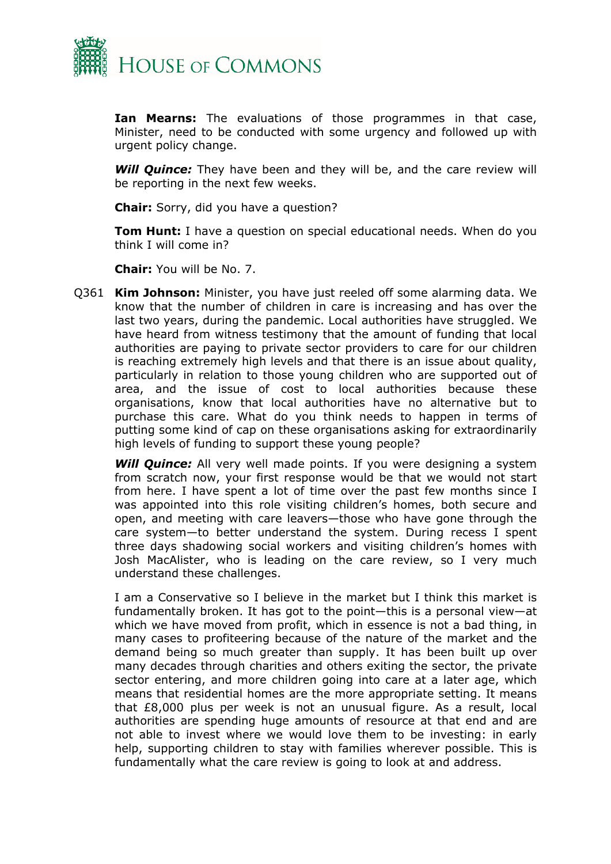

**Ian Mearns:** The evaluations of those programmes in that case, Minister, need to be conducted with some urgency and followed up with urgent policy change.

*Will Quince:* They have been and they will be, and the care review will be reporting in the next few weeks.

**Chair:** Sorry, did you have a question?

**Tom Hunt:** I have a question on special educational needs. When do you think I will come in?

**Chair:** You will be No. 7.

Q361 **Kim Johnson:** Minister, you have just reeled off some alarming data. We know that the number of children in care is increasing and has over the last two years, during the pandemic. Local authorities have struggled. We have heard from witness testimony that the amount of funding that local authorities are paying to private sector providers to care for our children is reaching extremely high levels and that there is an issue about quality, particularly in relation to those young children who are supported out of area, and the issue of cost to local authorities because these organisations, know that local authorities have no alternative but to purchase this care. What do you think needs to happen in terms of putting some kind of cap on these organisations asking for extraordinarily high levels of funding to support these young people?

*Will Quince:* All very well made points. If you were designing a system from scratch now, your first response would be that we would not start from here. I have spent a lot of time over the past few months since I was appointed into this role visiting children's homes, both secure and open, and meeting with care leavers—those who have gone through the care system—to better understand the system. During recess I spent three days shadowing social workers and visiting children's homes with Josh MacAlister, who is leading on the care review, so I very much understand these challenges.

I am a Conservative so I believe in the market but I think this market is fundamentally broken. It has got to the point—this is a personal view—at which we have moved from profit, which in essence is not a bad thing, in many cases to profiteering because of the nature of the market and the demand being so much greater than supply. It has been built up over many decades through charities and others exiting the sector, the private sector entering, and more children going into care at a later age, which means that residential homes are the more appropriate setting. It means that £8,000 plus per week is not an unusual figure. As a result, local authorities are spending huge amounts of resource at that end and are not able to invest where we would love them to be investing: in early help, supporting children to stay with families wherever possible. This is fundamentally what the care review is going to look at and address.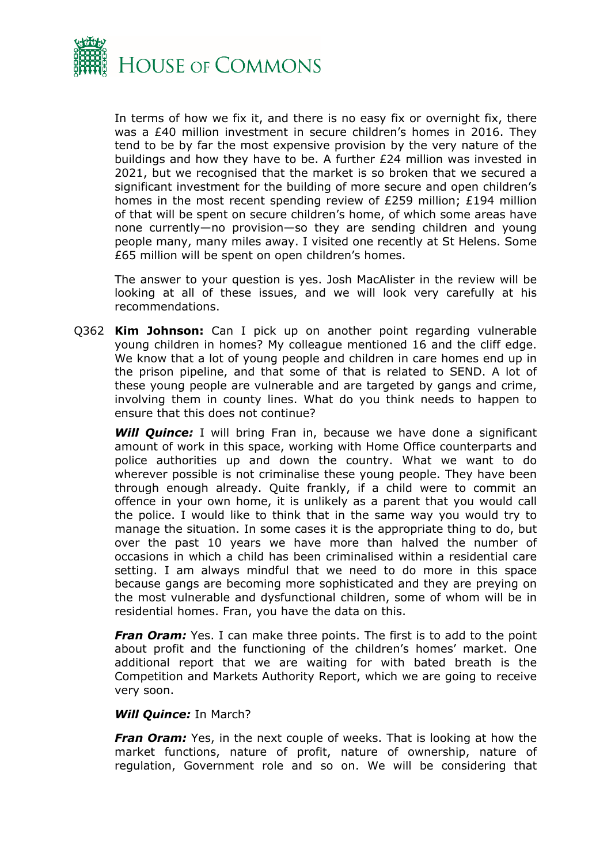

In terms of how we fix it, and there is no easy fix or overnight fix, there was a £40 million investment in secure children's homes in 2016. They tend to be by far the most expensive provision by the very nature of the buildings and how they have to be. A further £24 million was invested in 2021, but we recognised that the market is so broken that we secured a significant investment for the building of more secure and open children's homes in the most recent spending review of £259 million; £194 million of that will be spent on secure children's home, of which some areas have none currently—no provision—so they are sending children and young people many, many miles away. I visited one recently at St Helens. Some £65 million will be spent on open children's homes.

The answer to your question is yes. Josh MacAlister in the review will be looking at all of these issues, and we will look very carefully at his recommendations.

Q362 **Kim Johnson:** Can I pick up on another point regarding vulnerable young children in homes? My colleague mentioned 16 and the cliff edge. We know that a lot of young people and children in care homes end up in the prison pipeline, and that some of that is related to SEND. A lot of these young people are vulnerable and are targeted by gangs and crime, involving them in county lines. What do you think needs to happen to ensure that this does not continue?

**Will Quince:** I will bring Fran in, because we have done a significant amount of work in this space, working with Home Office counterparts and police authorities up and down the country. What we want to do wherever possible is not criminalise these young people. They have been through enough already. Quite frankly, if a child were to commit an offence in your own home, it is unlikely as a parent that you would call the police. I would like to think that in the same way you would try to manage the situation. In some cases it is the appropriate thing to do, but over the past 10 years we have more than halved the number of occasions in which a child has been criminalised within a residential care setting. I am always mindful that we need to do more in this space because gangs are becoming more sophisticated and they are preying on the most vulnerable and dysfunctional children, some of whom will be in residential homes. Fran, you have the data on this.

*Fran Oram:* Yes. I can make three points. The first is to add to the point about profit and the functioning of the children's homes' market. One additional report that we are waiting for with bated breath is the Competition and Markets Authority Report, which we are going to receive very soon.

#### *Will Quince:* In March?

*Fran Oram:* Yes, in the next couple of weeks. That is looking at how the market functions, nature of profit, nature of ownership, nature of regulation, Government role and so on. We will be considering that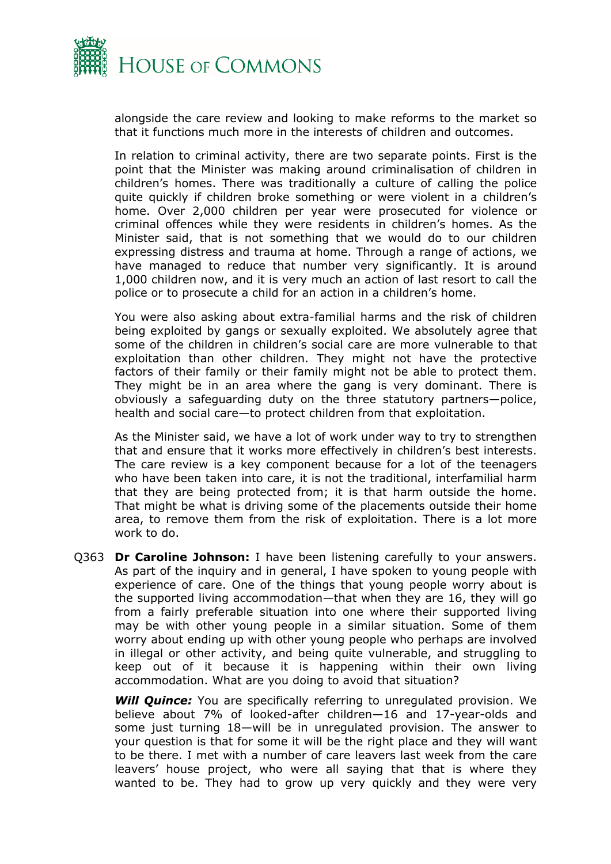

alongside the care review and looking to make reforms to the market so that it functions much more in the interests of children and outcomes.

In relation to criminal activity, there are two separate points. First is the point that the Minister was making around criminalisation of children in children's homes. There was traditionally a culture of calling the police quite quickly if children broke something or were violent in a children's home. Over 2,000 children per year were prosecuted for violence or criminal offences while they were residents in children's homes. As the Minister said, that is not something that we would do to our children expressing distress and trauma at home. Through a range of actions, we have managed to reduce that number very significantly. It is around 1,000 children now, and it is very much an action of last resort to call the police or to prosecute a child for an action in a children's home.

You were also asking about extra-familial harms and the risk of children being exploited by gangs or sexually exploited. We absolutely agree that some of the children in children's social care are more vulnerable to that exploitation than other children. They might not have the protective factors of their family or their family might not be able to protect them. They might be in an area where the gang is very dominant. There is obviously a safeguarding duty on the three statutory partners—police, health and social care—to protect children from that exploitation.

As the Minister said, we have a lot of work under way to try to strengthen that and ensure that it works more effectively in children's best interests. The care review is a key component because for a lot of the teenagers who have been taken into care, it is not the traditional, interfamilial harm that they are being protected from; it is that harm outside the home. That might be what is driving some of the placements outside their home area, to remove them from the risk of exploitation. There is a lot more work to do.

Q363 **Dr Caroline Johnson:** I have been listening carefully to your answers. As part of the inquiry and in general, I have spoken to young people with experience of care. One of the things that young people worry about is the supported living accommodation—that when they are 16, they will go from a fairly preferable situation into one where their supported living may be with other young people in a similar situation. Some of them worry about ending up with other young people who perhaps are involved in illegal or other activity, and being quite vulnerable, and struggling to keep out of it because it is happening within their own living accommodation. What are you doing to avoid that situation?

**Will Quince:** You are specifically referring to unregulated provision. We believe about 7% of looked-after children—16 and 17-year-olds and some just turning 18—will be in unregulated provision. The answer to your question is that for some it will be the right place and they will want to be there. I met with a number of care leavers last week from the care leavers' house project, who were all saying that that is where they wanted to be. They had to grow up very quickly and they were very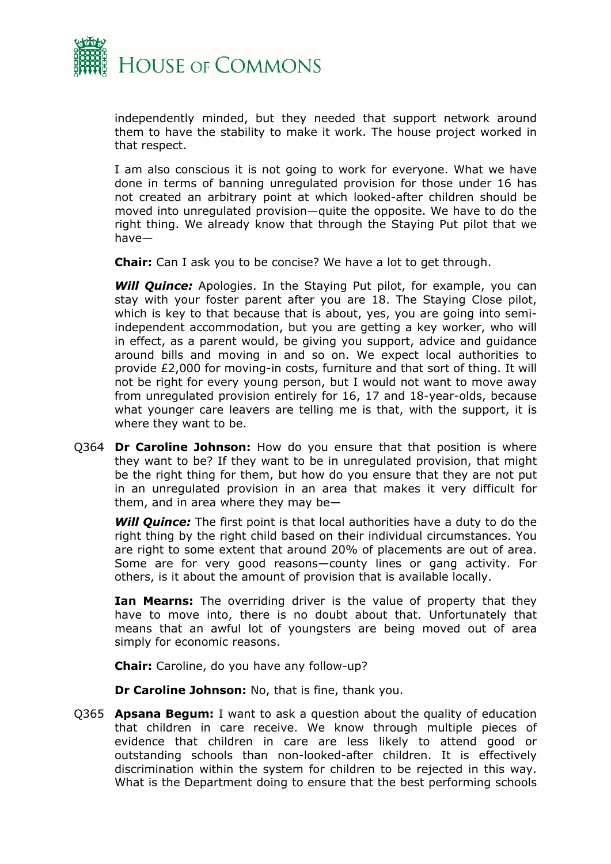

independently minded, but they needed that support network around them to have the stability to make it work. The house project worked in that respect.

I am also conscious it is not going to work for everyone. What we have done in terms of banning unregulated provision for those under 16 has not created an arbitrary point at which looked-after children should be moved into unregulated provision—quite the opposite. We have to do the right thing. We already know that through the Staying Put pilot that we have—

**Chair:** Can I ask you to be concise? We have a lot to get through.

**Will Quince:** Apologies. In the Staying Put pilot, for example, you can stay with your foster parent after you are 18. The Staying Close pilot, which is key to that because that is about, yes, you are going into semiindependent accommodation, but you are getting a key worker, who will in effect, as a parent would, be giving you support, advice and guidance around bills and moving in and so on. We expect local authorities to provide £2,000 for moving-in costs, furniture and that sort of thing. It will not be right for every young person, but I would not want to move away from unregulated provision entirely for 16, 17 and 18-year-olds, because what younger care leavers are telling me is that, with the support, it is where they want to be.

Q364 **Dr Caroline Johnson:** How do you ensure that that position is where they want to be? If they want to be in unregulated provision, that might be the right thing for them, but how do you ensure that they are not put in an unregulated provision in an area that makes it very difficult for them, and in area where they may be—

*Will Quince:* The first point is that local authorities have a duty to do the right thing by the right child based on their individual circumstances. You are right to some extent that around 20% of placements are out of area. Some are for very good reasons—county lines or gang activity. For others, is it about the amount of provision that is available locally.

**Ian Mearns:** The overriding driver is the value of property that they have to move into, there is no doubt about that. Unfortunately that means that an awful lot of youngsters are being moved out of area simply for economic reasons.

**Chair:** Caroline, do you have any follow-up?

**Dr Caroline Johnson:** No, that is fine, thank you.

Q365 **Apsana Begum:** I want to ask a question about the quality of education that children in care receive. We know through multiple pieces of evidence that children in care are less likely to attend good or outstanding schools than non-looked-after children. It is effectively discrimination within the system for children to be rejected in this way. What is the Department doing to ensure that the best performing schools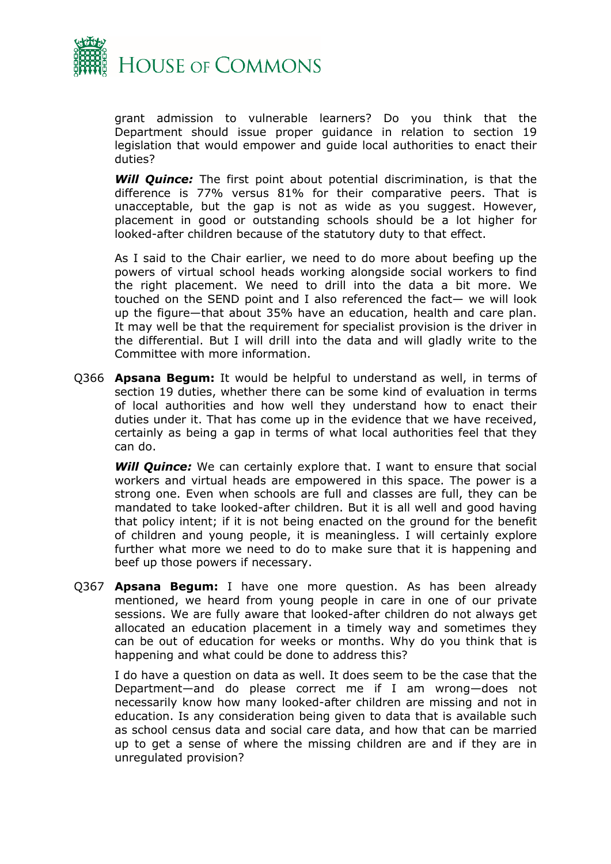

grant admission to vulnerable learners? Do you think that the Department should issue proper guidance in relation to section 19 legislation that would empower and guide local authorities to enact their duties?

*Will Quince:* The first point about potential discrimination, is that the difference is 77% versus 81% for their comparative peers. That is unacceptable, but the gap is not as wide as you suggest. However, placement in good or outstanding schools should be a lot higher for looked-after children because of the statutory duty to that effect.

As I said to the Chair earlier, we need to do more about beefing up the powers of virtual school heads working alongside social workers to find the right placement. We need to drill into the data a bit more. We touched on the SEND point and I also referenced the fact— we will look up the figure—that about 35% have an education, health and care plan. It may well be that the requirement for specialist provision is the driver in the differential. But I will drill into the data and will gladly write to the Committee with more information.

Q366 **Apsana Begum:** It would be helpful to understand as well, in terms of section 19 duties, whether there can be some kind of evaluation in terms of local authorities and how well they understand how to enact their duties under it. That has come up in the evidence that we have received, certainly as being a gap in terms of what local authorities feel that they can do.

**Will Quince:** We can certainly explore that. I want to ensure that social workers and virtual heads are empowered in this space. The power is a strong one. Even when schools are full and classes are full, they can be mandated to take looked-after children. But it is all well and good having that policy intent; if it is not being enacted on the ground for the benefit of children and young people, it is meaningless. I will certainly explore further what more we need to do to make sure that it is happening and beef up those powers if necessary.

Q367 **Apsana Begum:** I have one more question. As has been already mentioned, we heard from young people in care in one of our private sessions. We are fully aware that looked-after children do not always get allocated an education placement in a timely way and sometimes they can be out of education for weeks or months. Why do you think that is happening and what could be done to address this?

I do have a question on data as well. It does seem to be the case that the Department—and do please correct me if I am wrong—does not necessarily know how many looked-after children are missing and not in education. Is any consideration being given to data that is available such as school census data and social care data, and how that can be married up to get a sense of where the missing children are and if they are in unregulated provision?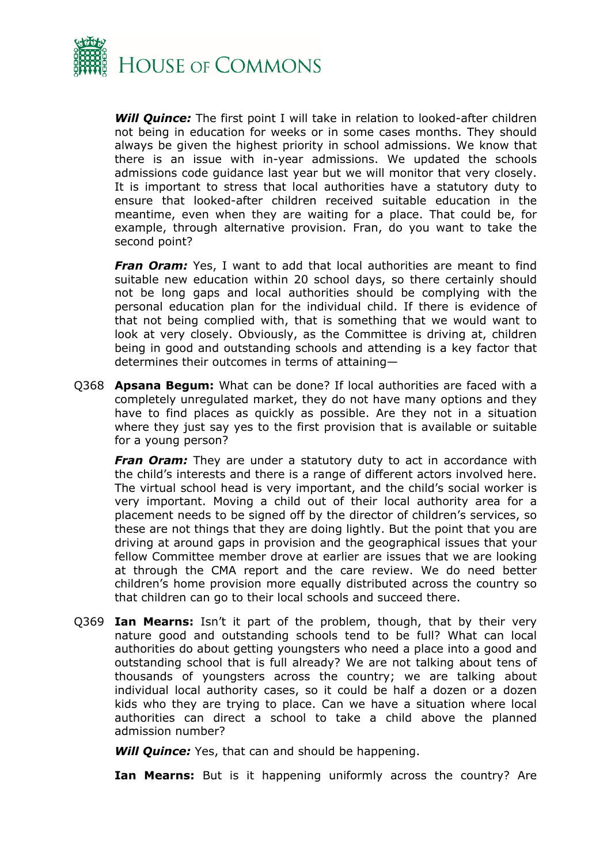

*Will Quince:* The first point I will take in relation to looked-after children not being in education for weeks or in some cases months. They should always be given the highest priority in school admissions. We know that there is an issue with in-year admissions. We updated the schools admissions code guidance last year but we will monitor that very closely. It is important to stress that local authorities have a statutory duty to ensure that looked-after children received suitable education in the meantime, even when they are waiting for a place. That could be, for example, through alternative provision. Fran, do you want to take the second point?

**Fran Oram:** Yes, I want to add that local authorities are meant to find suitable new education within 20 school days, so there certainly should not be long gaps and local authorities should be complying with the personal education plan for the individual child. If there is evidence of that not being complied with, that is something that we would want to look at very closely. Obviously, as the Committee is driving at, children being in good and outstanding schools and attending is a key factor that determines their outcomes in terms of attaining—

Q368 **Apsana Begum:** What can be done? If local authorities are faced with a completely unregulated market, they do not have many options and they have to find places as quickly as possible. Are they not in a situation where they just say yes to the first provision that is available or suitable for a young person?

**Fran Oram:** They are under a statutory duty to act in accordance with the child's interests and there is a range of different actors involved here. The virtual school head is very important, and the child's social worker is very important. Moving a child out of their local authority area for a placement needs to be signed off by the director of children's services, so these are not things that they are doing lightly. But the point that you are driving at around gaps in provision and the geographical issues that your fellow Committee member drove at earlier are issues that we are looking at through the CMA report and the care review. We do need better children's home provision more equally distributed across the country so that children can go to their local schools and succeed there.

Q369 **Ian Mearns:** Isn't it part of the problem, though, that by their very nature good and outstanding schools tend to be full? What can local authorities do about getting youngsters who need a place into a good and outstanding school that is full already? We are not talking about tens of thousands of youngsters across the country; we are talking about individual local authority cases, so it could be half a dozen or a dozen kids who they are trying to place. Can we have a situation where local authorities can direct a school to take a child above the planned admission number?

*Will Quince:* Yes, that can and should be happening.

**Ian Mearns:** But is it happening uniformly across the country? Are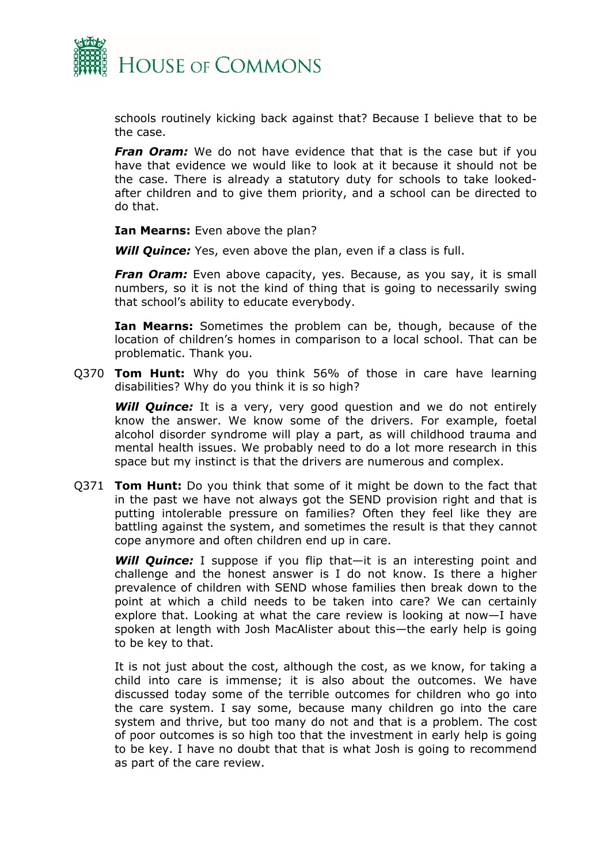

schools routinely kicking back against that? Because I believe that to be the case.

*Fran Oram:* We do not have evidence that that is the case but if you have that evidence we would like to look at it because it should not be the case. There is already a statutory duty for schools to take lookedafter children and to give them priority, and a school can be directed to do that.

**Ian Mearns:** Even above the plan?

*Will Quince:* Yes, even above the plan, even if a class is full.

*Fran Oram:* Even above capacity, yes. Because, as you say, it is small numbers, so it is not the kind of thing that is going to necessarily swing that school's ability to educate everybody.

**Ian Mearns:** Sometimes the problem can be, though, because of the location of children's homes in comparison to a local school. That can be problematic. Thank you.

Q370 **Tom Hunt:** Why do you think 56% of those in care have learning disabilities? Why do you think it is so high?

**Will Quince:** It is a very, very good question and we do not entirely know the answer. We know some of the drivers. For example, foetal alcohol disorder syndrome will play a part, as will childhood trauma and mental health issues. We probably need to do a lot more research in this space but my instinct is that the drivers are numerous and complex.

Q371 **Tom Hunt:** Do you think that some of it might be down to the fact that in the past we have not always got the SEND provision right and that is putting intolerable pressure on families? Often they feel like they are battling against the system, and sometimes the result is that they cannot cope anymore and often children end up in care.

**Will Quince:** I suppose if you flip that—it is an interesting point and challenge and the honest answer is I do not know. Is there a higher prevalence of children with SEND whose families then break down to the point at which a child needs to be taken into care? We can certainly explore that. Looking at what the care review is looking at now—I have spoken at length with Josh MacAlister about this—the early help is going to be key to that.

It is not just about the cost, although the cost, as we know, for taking a child into care is immense; it is also about the outcomes. We have discussed today some of the terrible outcomes for children who go into the care system. I say some, because many children go into the care system and thrive, but too many do not and that is a problem. The cost of poor outcomes is so high too that the investment in early help is going to be key. I have no doubt that that is what Josh is going to recommend as part of the care review.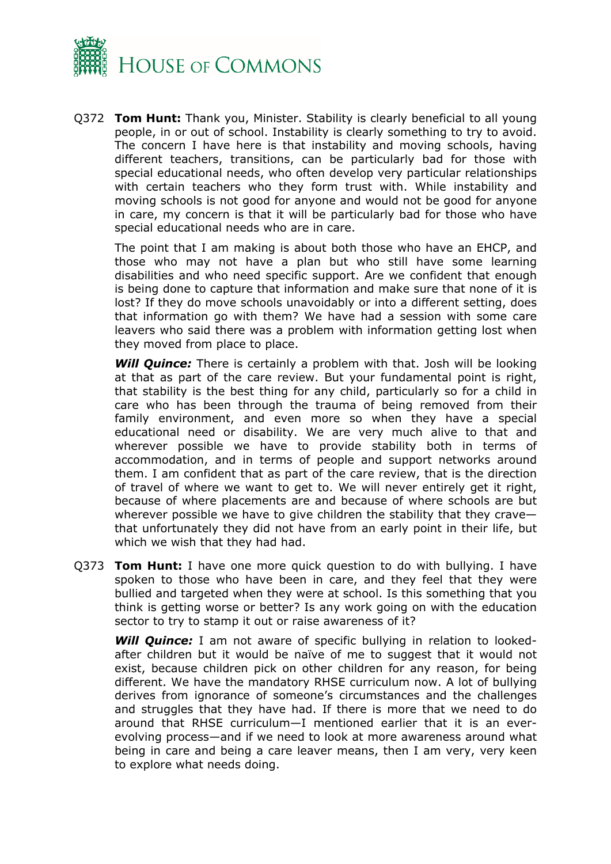

Q372 **Tom Hunt:** Thank you, Minister. Stability is clearly beneficial to all young people, in or out of school. Instability is clearly something to try to avoid. The concern I have here is that instability and moving schools, having different teachers, transitions, can be particularly bad for those with special educational needs, who often develop very particular relationships with certain teachers who they form trust with. While instability and moving schools is not good for anyone and would not be good for anyone in care, my concern is that it will be particularly bad for those who have special educational needs who are in care.

The point that I am making is about both those who have an EHCP, and those who may not have a plan but who still have some learning disabilities and who need specific support. Are we confident that enough is being done to capture that information and make sure that none of it is lost? If they do move schools unavoidably or into a different setting, does that information go with them? We have had a session with some care leavers who said there was a problem with information getting lost when they moved from place to place.

*Will Quince:* There is certainly a problem with that. Josh will be looking at that as part of the care review. But your fundamental point is right, that stability is the best thing for any child, particularly so for a child in care who has been through the trauma of being removed from their family environment, and even more so when they have a special educational need or disability. We are very much alive to that and wherever possible we have to provide stability both in terms of accommodation, and in terms of people and support networks around them. I am confident that as part of the care review, that is the direction of travel of where we want to get to. We will never entirely get it right, because of where placements are and because of where schools are but wherever possible we have to give children the stability that they crave that unfortunately they did not have from an early point in their life, but which we wish that they had had.

Q373 **Tom Hunt:** I have one more quick question to do with bullying. I have spoken to those who have been in care, and they feel that they were bullied and targeted when they were at school. Is this something that you think is getting worse or better? Is any work going on with the education sector to try to stamp it out or raise awareness of it?

*Will Quince:* I am not aware of specific bullying in relation to lookedafter children but it would be naïve of me to suggest that it would not exist, because children pick on other children for any reason, for being different. We have the mandatory RHSE curriculum now. A lot of bullying derives from ignorance of someone's circumstances and the challenges and struggles that they have had. If there is more that we need to do around that RHSE curriculum—I mentioned earlier that it is an everevolving process—and if we need to look at more awareness around what being in care and being a care leaver means, then I am very, very keen to explore what needs doing.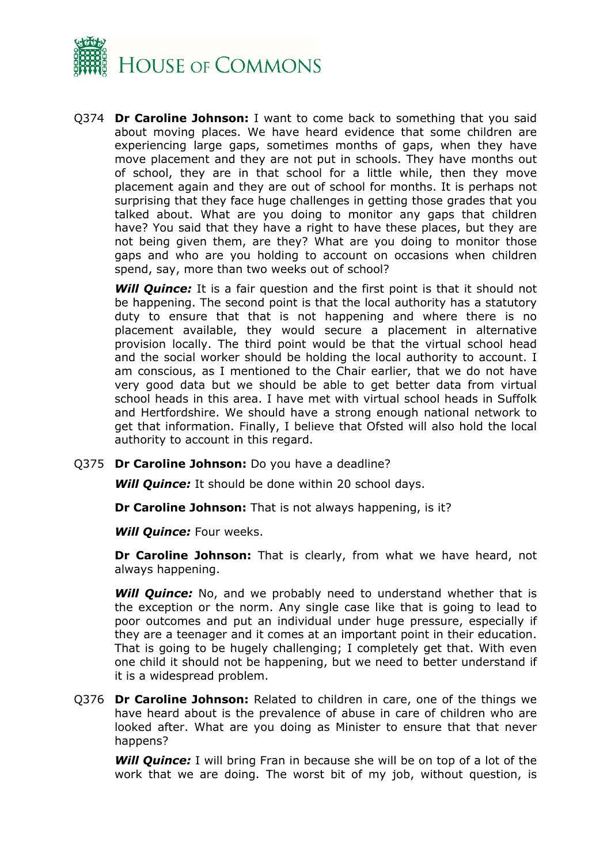

Q374 **Dr Caroline Johnson:** I want to come back to something that you said about moving places. We have heard evidence that some children are experiencing large gaps, sometimes months of gaps, when they have move placement and they are not put in schools. They have months out of school, they are in that school for a little while, then they move placement again and they are out of school for months. It is perhaps not surprising that they face huge challenges in getting those grades that you talked about. What are you doing to monitor any gaps that children have? You said that they have a right to have these places, but they are not being given them, are they? What are you doing to monitor those gaps and who are you holding to account on occasions when children spend, say, more than two weeks out of school?

*Will Quince:* It is a fair question and the first point is that it should not be happening. The second point is that the local authority has a statutory duty to ensure that that is not happening and where there is no placement available, they would secure a placement in alternative provision locally. The third point would be that the virtual school head and the social worker should be holding the local authority to account. I am conscious, as I mentioned to the Chair earlier, that we do not have very good data but we should be able to get better data from virtual school heads in this area. I have met with virtual school heads in Suffolk and Hertfordshire. We should have a strong enough national network to get that information. Finally, I believe that Ofsted will also hold the local authority to account in this regard.

Q375 **Dr Caroline Johnson:** Do you have a deadline?

*Will Quince:* It should be done within 20 school days.

**Dr Caroline Johnson:** That is not always happening, is it?

*Will Quince:* Four weeks.

**Dr Caroline Johnson:** That is clearly, from what we have heard, not always happening.

**Will Quince:** No, and we probably need to understand whether that is the exception or the norm. Any single case like that is going to lead to poor outcomes and put an individual under huge pressure, especially if they are a teenager and it comes at an important point in their education. That is going to be hugely challenging; I completely get that. With even one child it should not be happening, but we need to better understand if it is a widespread problem.

Q376 **Dr Caroline Johnson:** Related to children in care, one of the things we have heard about is the prevalence of abuse in care of children who are looked after. What are you doing as Minister to ensure that that never happens?

**Will Quince:** I will bring Fran in because she will be on top of a lot of the work that we are doing. The worst bit of my job, without question, is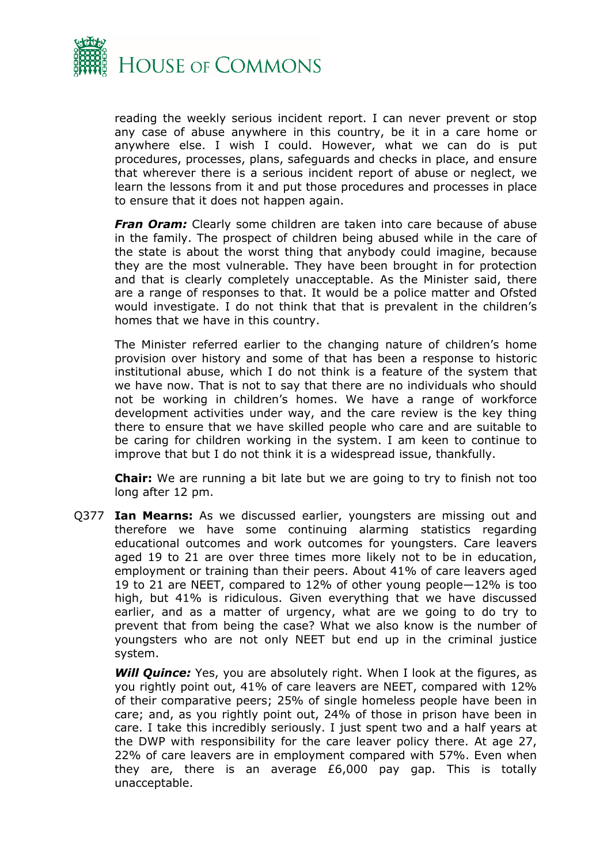

reading the weekly serious incident report. I can never prevent or stop any case of abuse anywhere in this country, be it in a care home or anywhere else. I wish I could. However, what we can do is put procedures, processes, plans, safeguards and checks in place, and ensure that wherever there is a serious incident report of abuse or neglect, we learn the lessons from it and put those procedures and processes in place to ensure that it does not happen again.

*Fran Oram:* Clearly some children are taken into care because of abuse in the family. The prospect of children being abused while in the care of the state is about the worst thing that anybody could imagine, because they are the most vulnerable. They have been brought in for protection and that is clearly completely unacceptable. As the Minister said, there are a range of responses to that. It would be a police matter and Ofsted would investigate. I do not think that that is prevalent in the children's homes that we have in this country.

The Minister referred earlier to the changing nature of children's home provision over history and some of that has been a response to historic institutional abuse, which I do not think is a feature of the system that we have now. That is not to say that there are no individuals who should not be working in children's homes. We have a range of workforce development activities under way, and the care review is the key thing there to ensure that we have skilled people who care and are suitable to be caring for children working in the system. I am keen to continue to improve that but I do not think it is a widespread issue, thankfully.

**Chair:** We are running a bit late but we are going to try to finish not too long after 12 pm.

Q377 **Ian Mearns:** As we discussed earlier, youngsters are missing out and therefore we have some continuing alarming statistics regarding educational outcomes and work outcomes for youngsters. Care leavers aged 19 to 21 are over three times more likely not to be in education, employment or training than their peers. About 41% of care leavers aged 19 to 21 are NEET, compared to 12% of other young people—12% is too high, but 41% is ridiculous. Given everything that we have discussed earlier, and as a matter of urgency, what are we going to do try to prevent that from being the case? What we also know is the number of youngsters who are not only NEET but end up in the criminal justice system.

**Will Quince:** Yes, you are absolutely right. When I look at the figures, as you rightly point out, 41% of care leavers are NEET, compared with 12% of their comparative peers; 25% of single homeless people have been in care; and, as you rightly point out, 24% of those in prison have been in care. I take this incredibly seriously. I just spent two and a half years at the DWP with responsibility for the care leaver policy there. At age 27, 22% of care leavers are in employment compared with 57%. Even when they are, there is an average £6,000 pay gap. This is totally unacceptable.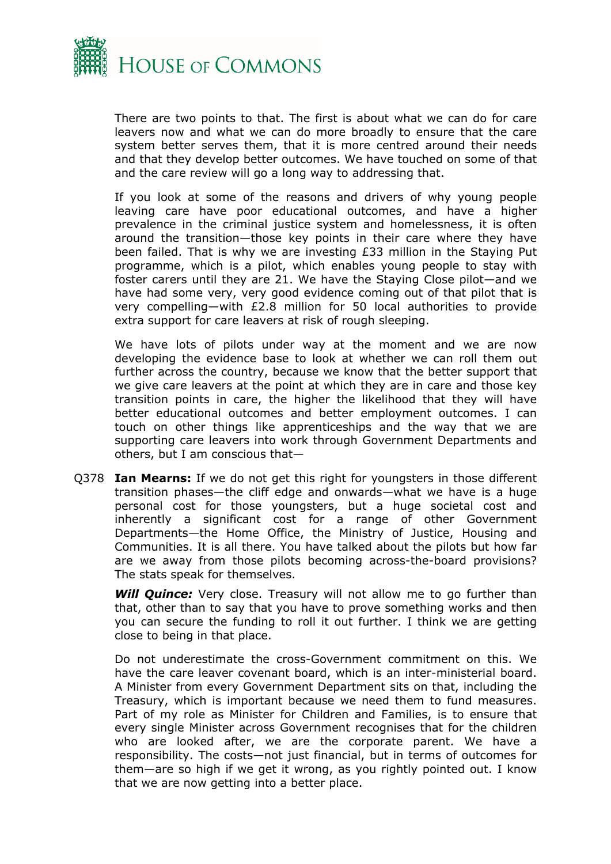

There are two points to that. The first is about what we can do for care leavers now and what we can do more broadly to ensure that the care system better serves them, that it is more centred around their needs and that they develop better outcomes. We have touched on some of that and the care review will go a long way to addressing that.

If you look at some of the reasons and drivers of why young people leaving care have poor educational outcomes, and have a higher prevalence in the criminal justice system and homelessness, it is often around the transition—those key points in their care where they have been failed. That is why we are investing £33 million in the Staying Put programme, which is a pilot, which enables young people to stay with foster carers until they are 21. We have the Staying Close pilot—and we have had some very, very good evidence coming out of that pilot that is very compelling—with £2.8 million for 50 local authorities to provide extra support for care leavers at risk of rough sleeping.

We have lots of pilots under way at the moment and we are now developing the evidence base to look at whether we can roll them out further across the country, because we know that the better support that we give care leavers at the point at which they are in care and those key transition points in care, the higher the likelihood that they will have better educational outcomes and better employment outcomes. I can touch on other things like apprenticeships and the way that we are supporting care leavers into work through Government Departments and others, but I am conscious that—

Q378 **Ian Mearns:** If we do not get this right for youngsters in those different transition phases—the cliff edge and onwards—what we have is a huge personal cost for those youngsters, but a huge societal cost and inherently a significant cost for a range of other Government Departments—the Home Office, the Ministry of Justice, Housing and Communities. It is all there. You have talked about the pilots but how far are we away from those pilots becoming across-the-board provisions? The stats speak for themselves.

*Will Quince:* Very close. Treasury will not allow me to go further than that, other than to say that you have to prove something works and then you can secure the funding to roll it out further. I think we are getting close to being in that place.

Do not underestimate the cross-Government commitment on this. We have the care leaver covenant board, which is an inter-ministerial board. A Minister from every Government Department sits on that, including the Treasury, which is important because we need them to fund measures. Part of my role as Minister for Children and Families, is to ensure that every single Minister across Government recognises that for the children who are looked after, we are the corporate parent. We have a responsibility. The costs—not just financial, but in terms of outcomes for them—are so high if we get it wrong, as you rightly pointed out. I know that we are now getting into a better place.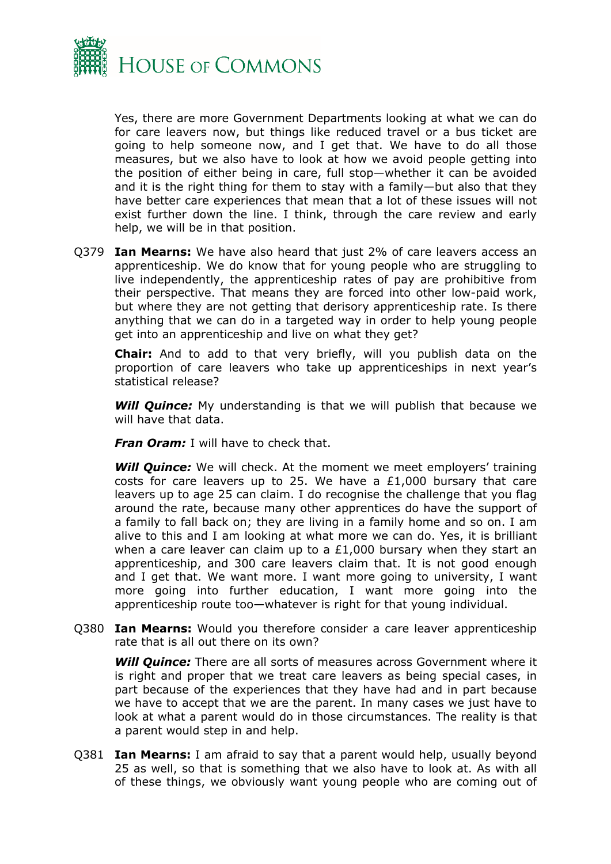

Yes, there are more Government Departments looking at what we can do for care leavers now, but things like reduced travel or a bus ticket are going to help someone now, and I get that. We have to do all those measures, but we also have to look at how we avoid people getting into the position of either being in care, full stop—whether it can be avoided and it is the right thing for them to stay with a family—but also that they have better care experiences that mean that a lot of these issues will not exist further down the line. I think, through the care review and early help, we will be in that position.

Q379 **Ian Mearns:** We have also heard that just 2% of care leavers access an apprenticeship. We do know that for young people who are struggling to live independently, the apprenticeship rates of pay are prohibitive from their perspective. That means they are forced into other low-paid work, but where they are not getting that derisory apprenticeship rate. Is there anything that we can do in a targeted way in order to help young people get into an apprenticeship and live on what they get?

**Chair:** And to add to that very briefly, will you publish data on the proportion of care leavers who take up apprenticeships in next year's statistical release?

**Will Quince:** My understanding is that we will publish that because we will have that data.

*Fran Oram:* I will have to check that.

**Will Quince:** We will check. At the moment we meet employers' training costs for care leavers up to 25. We have a £1,000 bursary that care leavers up to age 25 can claim. I do recognise the challenge that you flag around the rate, because many other apprentices do have the support of a family to fall back on; they are living in a family home and so on. I am alive to this and I am looking at what more we can do. Yes, it is brilliant when a care leaver can claim up to a £1,000 bursary when they start an apprenticeship, and 300 care leavers claim that. It is not good enough and I get that. We want more. I want more going to university, I want more going into further education, I want more going into the apprenticeship route too—whatever is right for that young individual.

Q380 **Ian Mearns:** Would you therefore consider a care leaver apprenticeship rate that is all out there on its own?

*Will Quince:* There are all sorts of measures across Government where it is right and proper that we treat care leavers as being special cases, in part because of the experiences that they have had and in part because we have to accept that we are the parent. In many cases we just have to look at what a parent would do in those circumstances. The reality is that a parent would step in and help.

Q381 **Ian Mearns:** I am afraid to say that a parent would help, usually beyond 25 as well, so that is something that we also have to look at. As with all of these things, we obviously want young people who are coming out of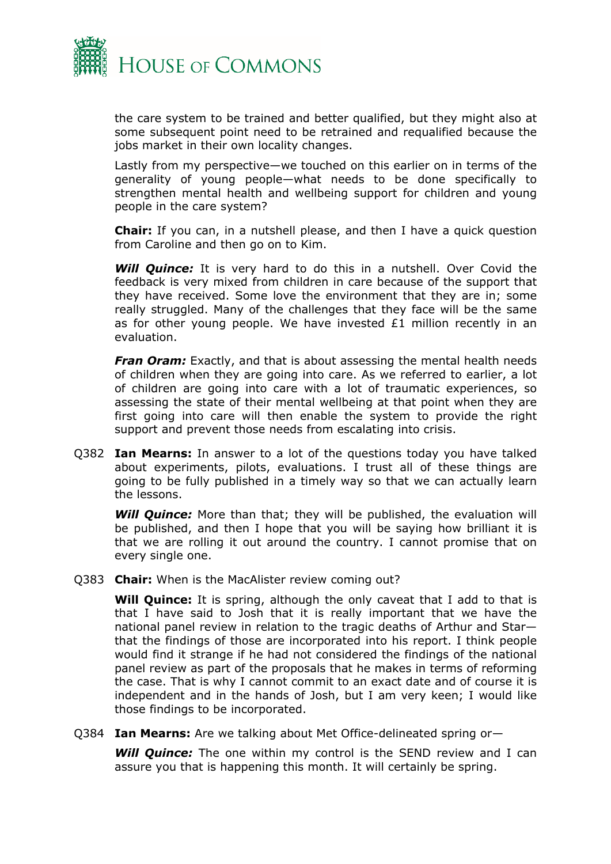

the care system to be trained and better qualified, but they might also at some subsequent point need to be retrained and requalified because the jobs market in their own locality changes.

Lastly from my perspective—we touched on this earlier on in terms of the generality of young people—what needs to be done specifically to strengthen mental health and wellbeing support for children and young people in the care system?

**Chair:** If you can, in a nutshell please, and then I have a quick question from Caroline and then go on to Kim.

*Will Quince:* It is very hard to do this in a nutshell. Over Covid the feedback is very mixed from children in care because of the support that they have received. Some love the environment that they are in; some really struggled. Many of the challenges that they face will be the same as for other young people. We have invested £1 million recently in an evaluation.

*Fran Oram:* Exactly, and that is about assessing the mental health needs of children when they are going into care. As we referred to earlier, a lot of children are going into care with a lot of traumatic experiences, so assessing the state of their mental wellbeing at that point when they are first going into care will then enable the system to provide the right support and prevent those needs from escalating into crisis.

Q382 **Ian Mearns:** In answer to a lot of the questions today you have talked about experiments, pilots, evaluations. I trust all of these things are going to be fully published in a timely way so that we can actually learn the lessons.

*Will Quince:* More than that; they will be published, the evaluation will be published, and then I hope that you will be saying how brilliant it is that we are rolling it out around the country. I cannot promise that on every single one.

Q383 **Chair:** When is the MacAlister review coming out?

**Will Quince:** It is spring, although the only caveat that I add to that is that I have said to Josh that it is really important that we have the national panel review in relation to the tragic deaths of Arthur and Star that the findings of those are incorporated into his report. I think people would find it strange if he had not considered the findings of the national panel review as part of the proposals that he makes in terms of reforming the case. That is why I cannot commit to an exact date and of course it is independent and in the hands of Josh, but I am very keen; I would like those findings to be incorporated.

Q384 **Ian Mearns:** Are we talking about Met Office-delineated spring or—

*Will Quince:* The one within my control is the SEND review and I can assure you that is happening this month. It will certainly be spring.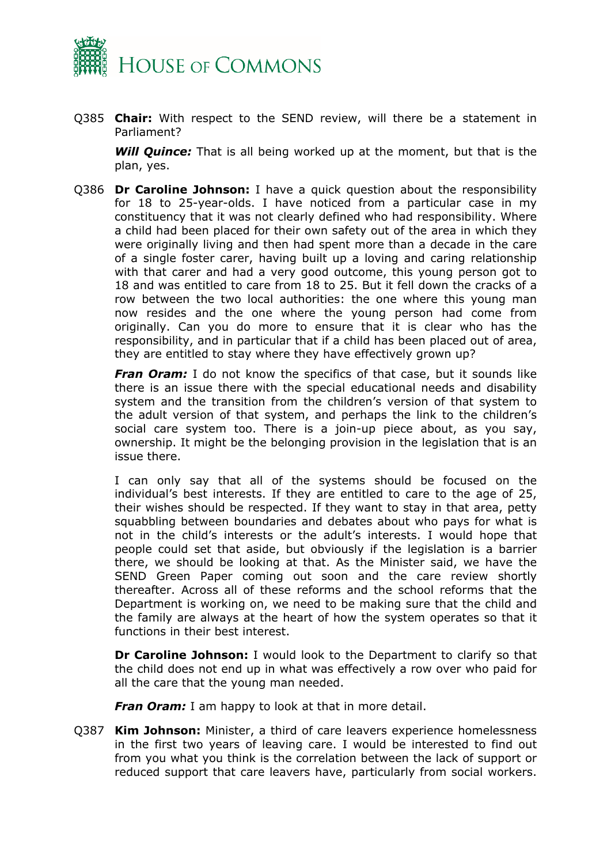

Q385 **Chair:** With respect to the SEND review, will there be a statement in Parliament?

*Will Quince:* That is all being worked up at the moment, but that is the plan, yes.

Q386 **Dr Caroline Johnson:** I have a quick question about the responsibility for 18 to 25-year-olds. I have noticed from a particular case in my constituency that it was not clearly defined who had responsibility. Where a child had been placed for their own safety out of the area in which they were originally living and then had spent more than a decade in the care of a single foster carer, having built up a loving and caring relationship with that carer and had a very good outcome, this young person got to 18 and was entitled to care from 18 to 25. But it fell down the cracks of a row between the two local authorities: the one where this young man now resides and the one where the young person had come from originally. Can you do more to ensure that it is clear who has the responsibility, and in particular that if a child has been placed out of area, they are entitled to stay where they have effectively grown up?

*Fran Oram:* I do not know the specifics of that case, but it sounds like there is an issue there with the special educational needs and disability system and the transition from the children's version of that system to the adult version of that system, and perhaps the link to the children's social care system too. There is a join-up piece about, as you say, ownership. It might be the belonging provision in the legislation that is an issue there.

I can only say that all of the systems should be focused on the individual's best interests. If they are entitled to care to the age of 25, their wishes should be respected. If they want to stay in that area, petty squabbling between boundaries and debates about who pays for what is not in the child's interests or the adult's interests. I would hope that people could set that aside, but obviously if the legislation is a barrier there, we should be looking at that. As the Minister said, we have the SEND Green Paper coming out soon and the care review shortly thereafter. Across all of these reforms and the school reforms that the Department is working on, we need to be making sure that the child and the family are always at the heart of how the system operates so that it functions in their best interest.

**Dr Caroline Johnson:** I would look to the Department to clarify so that the child does not end up in what was effectively a row over who paid for all the care that the young man needed.

*Fran Oram:* I am happy to look at that in more detail.

Q387 **Kim Johnson:** Minister, a third of care leavers experience homelessness in the first two years of leaving care. I would be interested to find out from you what you think is the correlation between the lack of support or reduced support that care leavers have, particularly from social workers.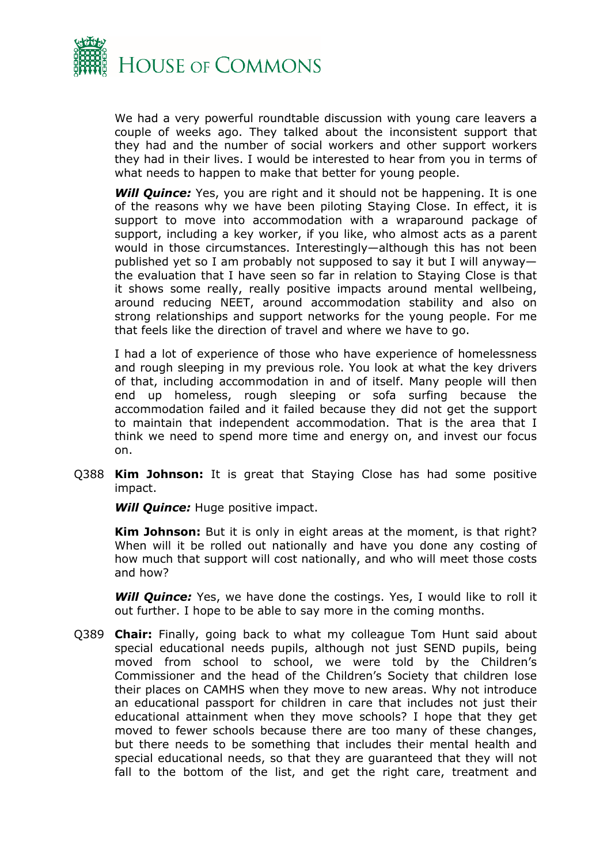

We had a very powerful roundtable discussion with young care leavers a couple of weeks ago. They talked about the inconsistent support that they had and the number of social workers and other support workers they had in their lives. I would be interested to hear from you in terms of what needs to happen to make that better for young people.

**Will Quince:** Yes, you are right and it should not be happening. It is one of the reasons why we have been piloting Staying Close. In effect, it is support to move into accommodation with a wraparound package of support, including a key worker, if you like, who almost acts as a parent would in those circumstances. Interestingly—although this has not been published yet so I am probably not supposed to say it but I will anyway the evaluation that I have seen so far in relation to Staying Close is that it shows some really, really positive impacts around mental wellbeing, around reducing NEET, around accommodation stability and also on strong relationships and support networks for the young people. For me that feels like the direction of travel and where we have to go.

I had a lot of experience of those who have experience of homelessness and rough sleeping in my previous role. You look at what the key drivers of that, including accommodation in and of itself. Many people will then end up homeless, rough sleeping or sofa surfing because the accommodation failed and it failed because they did not get the support to maintain that independent accommodation. That is the area that I think we need to spend more time and energy on, and invest our focus on.

Q388 **Kim Johnson:** It is great that Staying Close has had some positive impact.

*Will Quince:* Huge positive impact.

**Kim Johnson:** But it is only in eight areas at the moment, is that right? When will it be rolled out nationally and have you done any costing of how much that support will cost nationally, and who will meet those costs and how?

**Will Quince:** Yes, we have done the costings. Yes, I would like to roll it out further. I hope to be able to say more in the coming months.

Q389 **Chair:** Finally, going back to what my colleague Tom Hunt said about special educational needs pupils, although not just SEND pupils, being moved from school to school, we were told by the Children's Commissioner and the head of the Children's Society that children lose their places on CAMHS when they move to new areas. Why not introduce an educational passport for children in care that includes not just their educational attainment when they move schools? I hope that they get moved to fewer schools because there are too many of these changes, but there needs to be something that includes their mental health and special educational needs, so that they are guaranteed that they will not fall to the bottom of the list, and get the right care, treatment and